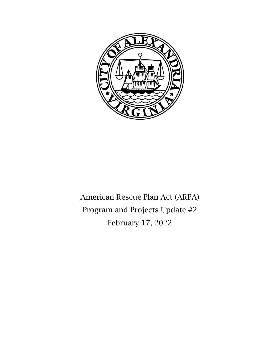

American Rescue Plan Act (ARPA) Program and Projects Update #2 February 17, 2022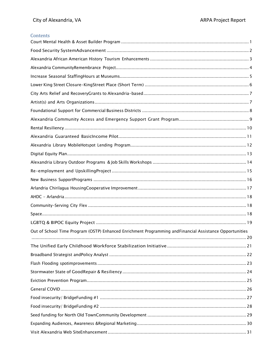## Contents

| Out of School Time Program (OSTP) Enhanced Enrichment Programming and Financial Assistance Opportunities |
|----------------------------------------------------------------------------------------------------------|
|                                                                                                          |
|                                                                                                          |
|                                                                                                          |
|                                                                                                          |
|                                                                                                          |
|                                                                                                          |
|                                                                                                          |
|                                                                                                          |
|                                                                                                          |
|                                                                                                          |
|                                                                                                          |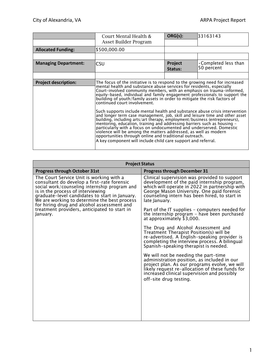|                             | Court Mental Health &<br>Asset Builder Program                                                                                                                                                                                                                                                                                                                                                                                                                                                                                                                                                                                                                                                                                                                                                                                                                                                                                                                                                                         | ORG(s):            | 133163143                                 |
|-----------------------------|------------------------------------------------------------------------------------------------------------------------------------------------------------------------------------------------------------------------------------------------------------------------------------------------------------------------------------------------------------------------------------------------------------------------------------------------------------------------------------------------------------------------------------------------------------------------------------------------------------------------------------------------------------------------------------------------------------------------------------------------------------------------------------------------------------------------------------------------------------------------------------------------------------------------------------------------------------------------------------------------------------------------|--------------------|-------------------------------------------|
| <b>Allocated Funding:</b>   | \$500,000.00                                                                                                                                                                                                                                                                                                                                                                                                                                                                                                                                                                                                                                                                                                                                                                                                                                                                                                                                                                                                           |                    |                                           |
|                             |                                                                                                                                                                                                                                                                                                                                                                                                                                                                                                                                                                                                                                                                                                                                                                                                                                                                                                                                                                                                                        |                    |                                           |
| <b>Managing Department:</b> | CSU                                                                                                                                                                                                                                                                                                                                                                                                                                                                                                                                                                                                                                                                                                                                                                                                                                                                                                                                                                                                                    | Project<br>Status: | $\cdot$ Completed less than<br>50 percent |
|                             |                                                                                                                                                                                                                                                                                                                                                                                                                                                                                                                                                                                                                                                                                                                                                                                                                                                                                                                                                                                                                        |                    |                                           |
| <b>Project description:</b> | The focus of the initiative is to respond to the growing need for increased<br>mental health and substance abuse services for residents, especially<br>Court-involved community members, with an emphasis on trauma-informed,<br>equity-based, individual and family engagement professionals to support the<br>building of youth/family assets in order to mitigate the risk factors of<br>continued court involvement.<br>Such supports include mental health and substance abuse crisis intervention<br>and longer term case management, job, skill and leisure time and other asset<br>building, including arts/art therapy, employment/business (entrepreneurs),<br>mentoring, education, training and addressing barriers such as housing -<br>particularly with a focus on undocumented and underserved. Domestic<br>violence will be among the matters addressed, as well as modern<br>opportunities through online and traditional outreach.<br>A key component will include child care support and referral. |                    |                                           |

| <b>Project Status</b>                                                                                                                                                                                                                                                                                                         |                                                                                                                                                                                                                                                                  |  |  |  |
|-------------------------------------------------------------------------------------------------------------------------------------------------------------------------------------------------------------------------------------------------------------------------------------------------------------------------------|------------------------------------------------------------------------------------------------------------------------------------------------------------------------------------------------------------------------------------------------------------------|--|--|--|
| <b>Progress through October 31st</b>                                                                                                                                                                                                                                                                                          | <b>Progress through December 31</b>                                                                                                                                                                                                                              |  |  |  |
| The Court Service Unit is working with a<br>consultant do develop a first-rate forensic<br>social work/counseling internship program and<br>is in the process of interviewing<br>graduate-level candidates to start in January.<br>We are working to determine the best process<br>for hiring drug and alcohol assessment and | Clinical supervision was provided to support<br>development of the paid internship program,<br>which will operate in 2022 in partnership with<br>George Mason University. One paid forensic<br>counseling intern has been hired, to start in<br>late January.    |  |  |  |
| treatment providers, anticipated to start in<br>January.                                                                                                                                                                                                                                                                      | Part of the IT supplies – computers needed for<br>the internship program - have been purchased<br>at approximately \$3,000.                                                                                                                                      |  |  |  |
|                                                                                                                                                                                                                                                                                                                               | The Drug and Alcohol Assessment and<br>Treatment Therapist Position(s) will be<br>re-advertised. A English-speaking provider is<br>completing the interview process. A bilingual<br>Spanish-speaking therapist is needed.                                        |  |  |  |
|                                                                                                                                                                                                                                                                                                                               | We will not be needing the part-time<br>administration position, as included in our<br>project plan. As our programs evolve, we will<br>likely request re-allocation of these funds for<br>increased clinical supervision and possibly<br>off-site drug testing. |  |  |  |
|                                                                                                                                                                                                                                                                                                                               |                                                                                                                                                                                                                                                                  |  |  |  |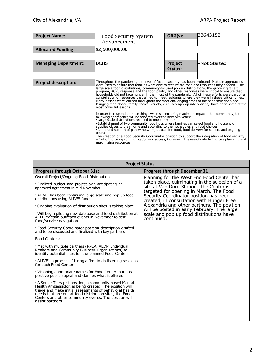| <b>Project Name:</b>        | <b>Food Security System</b><br>Advancement                                                                                                                                                                                                                                                                                                                                                                                                                                                                                                                                                                                                                                                                                                                                                                                                                                                                                                                                                                                                                                                                                                                                                                                                                                                                                                                                                                                                                                                                                                                                               | ORG(s):            | 33643152     |
|-----------------------------|------------------------------------------------------------------------------------------------------------------------------------------------------------------------------------------------------------------------------------------------------------------------------------------------------------------------------------------------------------------------------------------------------------------------------------------------------------------------------------------------------------------------------------------------------------------------------------------------------------------------------------------------------------------------------------------------------------------------------------------------------------------------------------------------------------------------------------------------------------------------------------------------------------------------------------------------------------------------------------------------------------------------------------------------------------------------------------------------------------------------------------------------------------------------------------------------------------------------------------------------------------------------------------------------------------------------------------------------------------------------------------------------------------------------------------------------------------------------------------------------------------------------------------------------------------------------------------------|--------------------|--------------|
| <b>Allocated Funding:</b>   | \$2,500,000.00                                                                                                                                                                                                                                                                                                                                                                                                                                                                                                                                                                                                                                                                                                                                                                                                                                                                                                                                                                                                                                                                                                                                                                                                                                                                                                                                                                                                                                                                                                                                                                           |                    |              |
|                             |                                                                                                                                                                                                                                                                                                                                                                                                                                                                                                                                                                                                                                                                                                                                                                                                                                                                                                                                                                                                                                                                                                                                                                                                                                                                                                                                                                                                                                                                                                                                                                                          |                    |              |
| <b>Managing Department:</b> | <b>DCHS</b>                                                                                                                                                                                                                                                                                                                                                                                                                                                                                                                                                                                                                                                                                                                                                                                                                                                                                                                                                                                                                                                                                                                                                                                                                                                                                                                                                                                                                                                                                                                                                                              | Project<br>Status: | •Not Started |
|                             |                                                                                                                                                                                                                                                                                                                                                                                                                                                                                                                                                                                                                                                                                                                                                                                                                                                                                                                                                                                                                                                                                                                                                                                                                                                                                                                                                                                                                                                                                                                                                                                          |                    |              |
| <b>Project description:</b> | Throughout the pandemic, the level of food insecurity has been profound. Multiple approaches<br>were used to ensure that families were able to receive the food and resources they needed. The<br>large scale food distributions, community-focused pop up distributions, the grocery gift card<br>program, ACPS response and the food pantry and other responses were critical to ensure that<br>households did not face hunger in the midst of the pandemic. All of these efforts were part of a constellation of resources that aimed to meet residents where they were in these critical times.<br>Many lessons were learned throughout the most challenging times of the pandemic and since.<br>Bringing food closer, family choice, variety, culturally appropriate options, have been some of the<br>most powerful lessons.<br>In order to respond to those things while still ensuring maximum impact in the community, the<br>following approaches will be adopted over the next two years:<br>•Large scale distributions reduced to one per month<br>•Establishment of two community food hubs where families can select food and household<br>supplies closes to their home and according to their schedules and food choices<br>•Continued support of pantry network, quarantine food, food delivery for seniors and ongoing<br>operations<br>The creation of a Food Security Coordinator position to support the integration of food security<br>efforts, improving communication and access, increase in the use of data to improve planning, and<br>maximizing resources. |                    |              |

| <b>Project Status</b>                                                                                                                                                                                                                                                                                              |                                                                                                                                      |  |  |  |
|--------------------------------------------------------------------------------------------------------------------------------------------------------------------------------------------------------------------------------------------------------------------------------------------------------------------|--------------------------------------------------------------------------------------------------------------------------------------|--|--|--|
| <b>Progress through October 31st</b>                                                                                                                                                                                                                                                                               | <b>Progress through December 31</b>                                                                                                  |  |  |  |
| Overall Project/Ongoing Food Distribution                                                                                                                                                                                                                                                                          | Planning for the West End Food Center has                                                                                            |  |  |  |
| · Finalized budget and project plan anticipating an<br>approved agreement in mid-November                                                                                                                                                                                                                          | taken place, culminating in the selection of a<br>site at Van Dorn Station. The Center is<br>targeted for opening in March. The Food |  |  |  |
| · ALIVE! has been continuing large scale and pop-up food<br>distributions using ALIVE! funds                                                                                                                                                                                                                       | Security Coordinator position has been<br>created, in consultation with Hunger Free                                                  |  |  |  |
| Ongoing evaluation of distribution sites is taking place                                                                                                                                                                                                                                                           | Alexandria and other partners. The position<br>will be posted in early February. The large                                           |  |  |  |
| Will begin piloting new database and food distribution at<br>AEPP eviction outreach events in November to test<br>food/service navigation                                                                                                                                                                          | scale and pop up food distributions have<br>continued.                                                                               |  |  |  |
| · Food Security Coordinator position description drafted<br>and to be discussed and finalized with key partners                                                                                                                                                                                                    |                                                                                                                                      |  |  |  |
| Food Centers:                                                                                                                                                                                                                                                                                                      |                                                                                                                                      |  |  |  |
| Met with multiple partners (RPCA, AEDP, Individual<br>Realtors and Community Business Organizations) to<br>identify potential sites for the planned Food Centers                                                                                                                                                   |                                                                                                                                      |  |  |  |
| ALIVE! in process of hiring a firm to do listening sessions<br>for each Food Center                                                                                                                                                                                                                                |                                                                                                                                      |  |  |  |
| Visioning appropriate names for Food Center that has<br>positive public appeal and clarifies what is offered.                                                                                                                                                                                                      |                                                                                                                                      |  |  |  |
| A Senior Therapist position, a community-based Mental<br>Health Ambassador, is being created. The position will<br>triage and make initial assessments of behavioral health<br>needs that present at food distribution sites, the Food<br>Centers and other community events. The position will<br>assist partners |                                                                                                                                      |  |  |  |
|                                                                                                                                                                                                                                                                                                                    |                                                                                                                                      |  |  |  |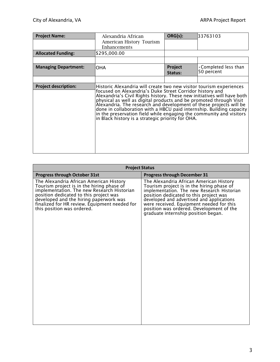| <b>Project Name:</b>        | Alexandria African                                                                                                                                                                                                                                                                                                                                                                                                                                                                                                                                         | ORG(s):            | 33763103                                  |
|-----------------------------|------------------------------------------------------------------------------------------------------------------------------------------------------------------------------------------------------------------------------------------------------------------------------------------------------------------------------------------------------------------------------------------------------------------------------------------------------------------------------------------------------------------------------------------------------------|--------------------|-------------------------------------------|
|                             | American History Tourism<br>Enhancements                                                                                                                                                                                                                                                                                                                                                                                                                                                                                                                   |                    |                                           |
| <b>Allocated Funding:</b>   | \$295,000.00                                                                                                                                                                                                                                                                                                                                                                                                                                                                                                                                               |                    |                                           |
|                             |                                                                                                                                                                                                                                                                                                                                                                                                                                                                                                                                                            |                    |                                           |
| <b>Managing Department:</b> | OHA                                                                                                                                                                                                                                                                                                                                                                                                                                                                                                                                                        | Project<br>Status: | $\cdot$ Completed less than<br>50 percent |
|                             |                                                                                                                                                                                                                                                                                                                                                                                                                                                                                                                                                            |                    |                                           |
| <b>Project description:</b> | Historic Alexandria will create two new visitor tourism experiences<br>focused on Alexandria's Duke Street Corridor history and<br>Alexandria's Civil Rights history. These new initiatives will have both<br>physical as well as digital products and be promoted through Visit<br>Alexandria. The research and development of these projects will be<br>done in collaboration with a HBCU paid internship. Building capacity<br>in the preservation field while engaging the community and visitors<br>in Black history is a strategic priority for OHA. |                    |                                           |

| <b>Progress through October 31st</b><br><b>Progress through December 31</b><br>The Alexandria African American History<br>The Alexandria African American History<br>Tourism project is in the hiring phase of<br>Tourism project is in the hiring phase of<br>implementation. The new Research Historian<br>implementation. The new Research Historian<br>position dedicated to this project was<br>position dedicated to this project was<br>developed and the hiring paperwork was<br>developed and advertised and applications<br>finalized for HR review. Equipment needed for<br>were received. Equipment needed for this<br>position was ordered. Development of the<br>this position was ordered.<br>graduate internship position began. | <b>Project Status</b> |  |  |  |  |
|--------------------------------------------------------------------------------------------------------------------------------------------------------------------------------------------------------------------------------------------------------------------------------------------------------------------------------------------------------------------------------------------------------------------------------------------------------------------------------------------------------------------------------------------------------------------------------------------------------------------------------------------------------------------------------------------------------------------------------------------------|-----------------------|--|--|--|--|
|                                                                                                                                                                                                                                                                                                                                                                                                                                                                                                                                                                                                                                                                                                                                                  |                       |  |  |  |  |
|                                                                                                                                                                                                                                                                                                                                                                                                                                                                                                                                                                                                                                                                                                                                                  |                       |  |  |  |  |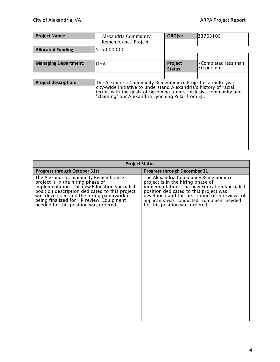| <b>Project Name:</b>        | Alexandria Community<br>Remembrance Project                                                                                                                                                                                                                    | ORG(s):            | 33763105                                  |
|-----------------------------|----------------------------------------------------------------------------------------------------------------------------------------------------------------------------------------------------------------------------------------------------------------|--------------------|-------------------------------------------|
| <b>Allocated Funding:</b>   | \$150,000.00                                                                                                                                                                                                                                                   |                    |                                           |
|                             |                                                                                                                                                                                                                                                                |                    |                                           |
| <b>Managing Department:</b> | OHA                                                                                                                                                                                                                                                            | Project<br>Status: | $\cdot$ Completed less than<br>50 percent |
|                             |                                                                                                                                                                                                                                                                |                    |                                           |
| <b>Project description:</b> | The Alexandria Community Remembrance Project is a multi-year,<br>city-wide initiative to understand Alexandria's history of racial<br>terror, with the goals of becoming a more inclusive community and<br>"claiming" our Alexandria Lynching Pillar from EJI. |                    |                                           |

| <b>Project Status</b>                                                                                                                                                                                                                                                                                         |                                                                                                                                                                                                                                                                                                       |  |  |  |
|---------------------------------------------------------------------------------------------------------------------------------------------------------------------------------------------------------------------------------------------------------------------------------------------------------------|-------------------------------------------------------------------------------------------------------------------------------------------------------------------------------------------------------------------------------------------------------------------------------------------------------|--|--|--|
| <b>Progress through October 31st</b>                                                                                                                                                                                                                                                                          | <b>Progress through December 31</b>                                                                                                                                                                                                                                                                   |  |  |  |
| The Alexandria Community Remembrance<br>project is in the hiring phase of<br>implementation. The new Education Specialist<br>position description dedicated to this project<br>was developed and the hiring paperwork is<br>being finalized for HR review. Equipment<br>needed for this position was ordered. | The Alexandria Community Remembrance<br>project is in the hiring phase of<br>implementation. The new Education Specialist<br>position dedicated to this project was<br>developed and the first round of interviews of<br>applicants was conducted. Equipment needed<br>for this position was ordered. |  |  |  |
|                                                                                                                                                                                                                                                                                                               |                                                                                                                                                                                                                                                                                                       |  |  |  |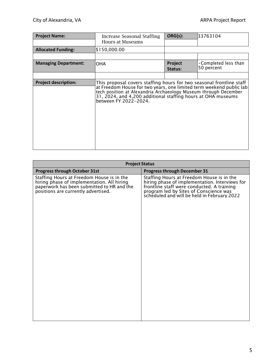| <b>Project Name:</b>        | Increase Seasonal Staffing<br>Hours at Museums                                                                                                                                                                                                                                                          | ORG(s):            | 33763104                                  |
|-----------------------------|---------------------------------------------------------------------------------------------------------------------------------------------------------------------------------------------------------------------------------------------------------------------------------------------------------|--------------------|-------------------------------------------|
| <b>Allocated Funding:</b>   | \$150,000.00                                                                                                                                                                                                                                                                                            |                    |                                           |
|                             |                                                                                                                                                                                                                                                                                                         |                    |                                           |
| <b>Managing Department:</b> | OHA                                                                                                                                                                                                                                                                                                     | Project<br>Status: | $\cdot$ Completed less than<br>50 percent |
|                             |                                                                                                                                                                                                                                                                                                         |                    |                                           |
| <b>Project description:</b> | This proposal covers staffing hours for two seasonal frontline staff<br>at Freedom House for two years, one limited term weekend public lab<br>tech position at Alexandria Archaeology Museum through December<br>31, 2024, and 4,200 additional staffing hours at OHA museums<br>between FY 2022-2024. |                    |                                           |

| <b>Project Status</b>                                                                                                                                                        |                                                                                                                                                                                                                                    |  |  |  |
|------------------------------------------------------------------------------------------------------------------------------------------------------------------------------|------------------------------------------------------------------------------------------------------------------------------------------------------------------------------------------------------------------------------------|--|--|--|
| <b>Progress through October 31st</b>                                                                                                                                         | <b>Progress through December 31</b>                                                                                                                                                                                                |  |  |  |
| Staffing Hours at Freedom House is in the<br>hiring phase of implementation. All hiring<br>paperwork has been submitted to HR and the<br>positions are currently advertised. | Staffing Hours at Freedom House is in the<br>hiring phase of implementation. Interviews for<br>frontline staff were conducted. A training<br>program led by Sites of Conscience was<br>scheduled and will be held in February 2022 |  |  |  |
|                                                                                                                                                                              |                                                                                                                                                                                                                                    |  |  |  |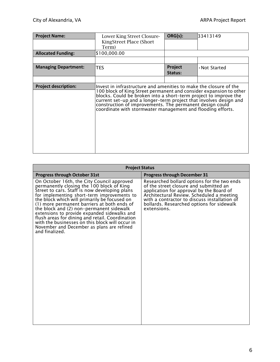| <b>Project Name:</b>        | Lower King Street Closure-<br>KingStreet Place (Short<br>Term)                                                                                                                                                                                                                                                                                                                                              | ORG(s):            | 33413149      |
|-----------------------------|-------------------------------------------------------------------------------------------------------------------------------------------------------------------------------------------------------------------------------------------------------------------------------------------------------------------------------------------------------------------------------------------------------------|--------------------|---------------|
| <b>Allocated Funding:</b>   | \$100,000.00                                                                                                                                                                                                                                                                                                                                                                                                |                    |               |
|                             |                                                                                                                                                                                                                                                                                                                                                                                                             |                    |               |
| <b>Managing Department:</b> | <b>TES</b>                                                                                                                                                                                                                                                                                                                                                                                                  | Project<br>Status: | . Not Started |
|                             |                                                                                                                                                                                                                                                                                                                                                                                                             |                    |               |
| <b>Project description:</b> | Invest in infrastructure and amenities to make the closure of the<br>100 block of King Street permanent and consider expansion to other<br>blocks. Could be broken into a short-term project to improve the<br>current set-up and a longer-term project that involves design and<br>construction of improvements. The permanent design could<br>coordinate with stormwater management and flooding efforts. |                    |               |

| <b>Project Status</b>                                                                                                                                                                                                                                                                                                                                                                                                                                                                                                                                    |                                                                                                                                                                                                                                                                                            |  |  |
|----------------------------------------------------------------------------------------------------------------------------------------------------------------------------------------------------------------------------------------------------------------------------------------------------------------------------------------------------------------------------------------------------------------------------------------------------------------------------------------------------------------------------------------------------------|--------------------------------------------------------------------------------------------------------------------------------------------------------------------------------------------------------------------------------------------------------------------------------------------|--|--|
| Progress through October 31st                                                                                                                                                                                                                                                                                                                                                                                                                                                                                                                            | <b>Progress through December 31</b>                                                                                                                                                                                                                                                        |  |  |
| On October 16th, the City Council approved<br>permanently closing the 100 block of King<br>Street to cars. Staff is now developing plans<br>for implementing short-term improvements to<br>the block which will primarily be focused on<br>(1) more permanent barriers at both ends of<br>the block and (2) non-permanent sidewalk<br>extensions to provide expanded sidewalks and<br>flush areas for dining and retail. Coordination<br>with the businesses on this block will occur in<br>November and December as plans are refined<br>and finalized. | Researched bollard options for the two ends<br>of the street closure and submitted an<br>application for approval by the Board of<br>Architectural Review. Scheduled a meeting<br>with a contractor to discuss installation of<br>bollards. Researched options for sidewalk<br>extensions. |  |  |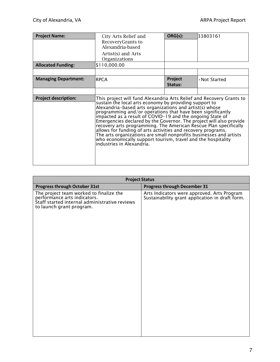| <b>Project Name:</b>        | City Arts Relief and<br>RecoveryGrants to<br>Alexandria-based<br>Artist(s) and Arts                                                                                                                                                                                                                                                                                                                                                                                                                                                                                                                                                                                                                | ORG(s):            | 33803161      |
|-----------------------------|----------------------------------------------------------------------------------------------------------------------------------------------------------------------------------------------------------------------------------------------------------------------------------------------------------------------------------------------------------------------------------------------------------------------------------------------------------------------------------------------------------------------------------------------------------------------------------------------------------------------------------------------------------------------------------------------------|--------------------|---------------|
|                             | Organizations                                                                                                                                                                                                                                                                                                                                                                                                                                                                                                                                                                                                                                                                                      |                    |               |
| <b>Allocated Funding:</b>   | \$110,000.00                                                                                                                                                                                                                                                                                                                                                                                                                                                                                                                                                                                                                                                                                       |                    |               |
|                             |                                                                                                                                                                                                                                                                                                                                                                                                                                                                                                                                                                                                                                                                                                    |                    |               |
| <b>Managing Department:</b> | <b>RPCA</b>                                                                                                                                                                                                                                                                                                                                                                                                                                                                                                                                                                                                                                                                                        | Project<br>Status: | . Not Started |
|                             |                                                                                                                                                                                                                                                                                                                                                                                                                                                                                                                                                                                                                                                                                                    |                    |               |
| <b>Project description:</b> | This project will fund Alexandria Arts Relief and Recovery Grants to<br>sustain the local arts economy by providing support to<br>Alexandria-based arts organizations and artist(s) whose<br>programming and/or operations that have been significantly<br>impacted as a result of COVID-19 and the ongoing State of<br>Emergencies declared by the Governor. The project will also provide<br>recovery arts programming. The American Rescue Plan specifically<br>allows for funding of arts activities and recovery programs.<br>The arts organizations are small nonprofits businesses and artists<br>who economically support tourism, travel and the hospitality<br>industries in Alexandria. |                    |               |

| <b>Project Status</b>                                                                                                                                |                                                                                                |  |
|------------------------------------------------------------------------------------------------------------------------------------------------------|------------------------------------------------------------------------------------------------|--|
| Progress through October 31st                                                                                                                        | <b>Progress through December 31</b>                                                            |  |
| The project team worked to finalize the<br>performance arts indicators.<br>Staff started internal administrative reviews<br>to launch grant program. | Arts Indicators were approved. Arts Program<br>Sustainability grant application in draft form. |  |
|                                                                                                                                                      |                                                                                                |  |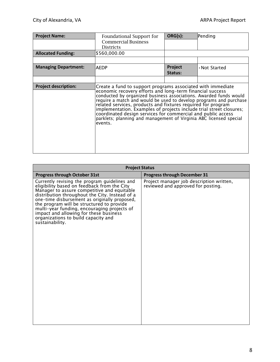| <b>Project Name:</b>        | Foundational Support for                                                                                                                                                                                                                                                                                                                                                                                                                                                                                                                                    | ORG(s):            | Pending       |
|-----------------------------|-------------------------------------------------------------------------------------------------------------------------------------------------------------------------------------------------------------------------------------------------------------------------------------------------------------------------------------------------------------------------------------------------------------------------------------------------------------------------------------------------------------------------------------------------------------|--------------------|---------------|
|                             | <b>Commercial Business</b><br><b>Districts</b>                                                                                                                                                                                                                                                                                                                                                                                                                                                                                                              |                    |               |
| <b>Allocated Funding:</b>   | \$560,000.00                                                                                                                                                                                                                                                                                                                                                                                                                                                                                                                                                |                    |               |
|                             |                                                                                                                                                                                                                                                                                                                                                                                                                                                                                                                                                             |                    |               |
| <b>Managing Department:</b> | AEDP                                                                                                                                                                                                                                                                                                                                                                                                                                                                                                                                                        | Project<br>Status: | . Not Started |
|                             |                                                                                                                                                                                                                                                                                                                                                                                                                                                                                                                                                             |                    |               |
| <b>Project description:</b> | Create a fund to support programs associated with immediate<br>economic recovery efforts and long-term financial success<br>conducted by organized business associations. Awarded funds would<br>require a match and would be used to develop programs and purchase<br>related services, products and fixtures required for program<br>implementation. Examples of projects include trial street closures;<br>coordinated design services for commercial and public access<br>parklets; planning and management of Virginia ABC licensed special<br>events. |                    |               |

| <b>Project Status</b>                                                                                                                                                                                                                                                                                                                                                                                                                          |                                                                                |  |
|------------------------------------------------------------------------------------------------------------------------------------------------------------------------------------------------------------------------------------------------------------------------------------------------------------------------------------------------------------------------------------------------------------------------------------------------|--------------------------------------------------------------------------------|--|
| <b>Progress through October 31st</b>                                                                                                                                                                                                                                                                                                                                                                                                           | <b>Progress through December 31</b>                                            |  |
| Currently revising the program guidelines and<br>eligibility based on feedback from the City<br>Manager to assure competitive and equitable<br>distribution throughout the City. Instead of a<br>one-time disbursement as originally proposed,<br>the program will be structured to provide<br>multi-year funding, encouraging projects of<br>impact and allowing for these business<br>organizations to build capacity and<br>sustainability. | Project manager job description written,<br>reviewed and approved for posting. |  |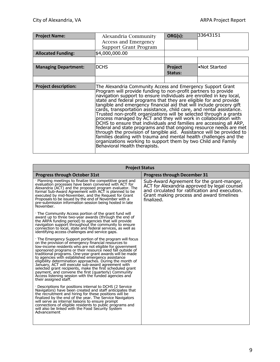| <b>Project Name:</b>        | Alexandria Community<br>Access and Emergency                                                                                                                                                                                                                                                                                                                                                                                                                                                                                                                                                                                                                                                                                                                                                                                                                                                                                                                   | ORG(s):            | 33643151     |
|-----------------------------|----------------------------------------------------------------------------------------------------------------------------------------------------------------------------------------------------------------------------------------------------------------------------------------------------------------------------------------------------------------------------------------------------------------------------------------------------------------------------------------------------------------------------------------------------------------------------------------------------------------------------------------------------------------------------------------------------------------------------------------------------------------------------------------------------------------------------------------------------------------------------------------------------------------------------------------------------------------|--------------------|--------------|
|                             | Support Grant Program                                                                                                                                                                                                                                                                                                                                                                                                                                                                                                                                                                                                                                                                                                                                                                                                                                                                                                                                          |                    |              |
| <b>Allocated Funding:</b>   | \$4,000,000.00                                                                                                                                                                                                                                                                                                                                                                                                                                                                                                                                                                                                                                                                                                                                                                                                                                                                                                                                                 |                    |              |
|                             |                                                                                                                                                                                                                                                                                                                                                                                                                                                                                                                                                                                                                                                                                                                                                                                                                                                                                                                                                                |                    |              |
| <b>Managing Department:</b> | <b>DCHS</b>                                                                                                                                                                                                                                                                                                                                                                                                                                                                                                                                                                                                                                                                                                                                                                                                                                                                                                                                                    | Project<br>Status: | •Not Started |
|                             |                                                                                                                                                                                                                                                                                                                                                                                                                                                                                                                                                                                                                                                                                                                                                                                                                                                                                                                                                                |                    |              |
| <b>Project description:</b> | The Alexandria Community Access and Emergency Support Grant<br>Program will provide funding to non-profit partners to provide<br>navigation support to ensure individuals are enrolled in key local,<br>state and federal programs that they are eligible for and provide<br>tangible and emergency financial aid that will include grocery gift<br>cards, transportation assistance, child care, and rental assistance.<br>Trusted non-profit organizations will be selected through a grants<br>process managed by ACT and they will work in collaboration with<br>DCHS to ensure that individuals and families are accessing all ARP,<br>federal and state programs and that ongoing resource needs are met<br>through the provision of tangible aid. Assistance will be provided to<br>families dealing with trauma and mental health challenges and the<br>organizations working to support them by two Child and Family<br>Behavioral Health therapists. |                    |              |

| <b>Project Status</b>                                                                                                                                                                                                                                                                                                                                                                                                                                                                                                                                                                                                                                                                 |                                                                                                                                                                                                       |  |  |
|---------------------------------------------------------------------------------------------------------------------------------------------------------------------------------------------------------------------------------------------------------------------------------------------------------------------------------------------------------------------------------------------------------------------------------------------------------------------------------------------------------------------------------------------------------------------------------------------------------------------------------------------------------------------------------------|-------------------------------------------------------------------------------------------------------------------------------------------------------------------------------------------------------|--|--|
| <b>Progress through October 31st</b>                                                                                                                                                                                                                                                                                                                                                                                                                                                                                                                                                                                                                                                  | <b>Progress through December 31</b>                                                                                                                                                                   |  |  |
| · Planning meetings to finalize the competitive grant and<br>evaluation processes have been convened with ACT for<br>Alexandria (ACT) and the proposed program evaluator. The<br>formal Sub-Award Agreement with ACT is planned to be<br>executed by mid-November, and the Request for Grant<br>Proposals to be issued by the end of November with a<br>pre-submission information session being hosted in late<br>November.                                                                                                                                                                                                                                                          | Sub-Award Agreement for the grant-manger,<br>ACT for Alexandria approved by legal counsel<br>and circulated for ratification and execution.<br>Grant making process and award timelines<br>finalized. |  |  |
| The Community Access portion of the grant fund will<br>award up to three two-year awards (through the end of<br>the ARPA funding period) to agencies that will provide<br>navigation support throughout the community to ensure<br>connection to local, state and federal services, as well as<br>identifying access challenges and service gaps.                                                                                                                                                                                                                                                                                                                                     |                                                                                                                                                                                                       |  |  |
| . The Emergency Support portion of the program will focus<br>on the provision of emergency financial resources to<br>low-income residents who are not eligible for government<br>sponsored programs or their resource need fall outside of<br>traditional programs. One-year grant awards will be made<br>to agencies with established emergency assistance<br>eligibility determination approaches. During the month of<br>January, ACT will execute sub-award agreement with<br>selected grant recipients, make the first scheduled grant<br>payment, and convene the first (quarterly) Community<br>Access listening session with the funded agencies and<br>their assigned staff. |                                                                                                                                                                                                       |  |  |
| Descriptions for positions internal to DCHS (2 Service<br>Navigators) have been created and staff anticipates that<br>the recruitment and hiring for these positions will be<br>finalized by the end of the year. The Service Navigators<br>will serve as internal liaisons to ensure prompt<br>connections of eligible residents to public programs and<br>will also be linked with the Food Security System<br>Advancement                                                                                                                                                                                                                                                          |                                                                                                                                                                                                       |  |  |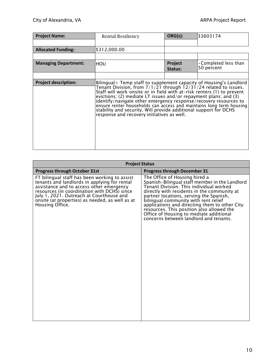| <b>Project Name:</b>        | <b>Rental Resiliency</b>                                                                                                                                                                                                                                                                                                                                                                                                                                                                                                                              | ORG(s):            | 33603174                                  |
|-----------------------------|-------------------------------------------------------------------------------------------------------------------------------------------------------------------------------------------------------------------------------------------------------------------------------------------------------------------------------------------------------------------------------------------------------------------------------------------------------------------------------------------------------------------------------------------------------|--------------------|-------------------------------------------|
|                             |                                                                                                                                                                                                                                                                                                                                                                                                                                                                                                                                                       |                    |                                           |
| <b>Allocated Funding:</b>   | \$312,000.00                                                                                                                                                                                                                                                                                                                                                                                                                                                                                                                                          |                    |                                           |
|                             |                                                                                                                                                                                                                                                                                                                                                                                                                                                                                                                                                       |                    |                                           |
| <b>Managing Department:</b> | HOU                                                                                                                                                                                                                                                                                                                                                                                                                                                                                                                                                   | Project<br>Status: | $\cdot$ Completed less than<br>50 percent |
|                             |                                                                                                                                                                                                                                                                                                                                                                                                                                                                                                                                                       |                    |                                           |
| <b>Project description:</b> | Bilingual+ Temp staff to supplement capacity of Housing's Landlord<br>Tenant Division, from $7/1/21$ through $12/31/24$ related to issues.<br>Staff will work onsite or in field with at-risk renters (1) to prevent<br>evictions; (2) mediate LT issues and/or repayment plans; and (3)<br>identify/navigate other emergency response/recovery resources to<br>ensure renter households can access and maintains long term housing<br>stability and security. Will provide additional support for DCHS<br>response and recovery initiatives as well. |                    |                                           |

| <b>Project Status</b>                                                                                                                                                                                                                                                                                      |                                                                                                                                                                                                                                                                                                                                                                                                                                                 |  |  |
|------------------------------------------------------------------------------------------------------------------------------------------------------------------------------------------------------------------------------------------------------------------------------------------------------------|-------------------------------------------------------------------------------------------------------------------------------------------------------------------------------------------------------------------------------------------------------------------------------------------------------------------------------------------------------------------------------------------------------------------------------------------------|--|--|
| <b>Progress through October 31st</b>                                                                                                                                                                                                                                                                       | <b>Progress through December 31</b>                                                                                                                                                                                                                                                                                                                                                                                                             |  |  |
| FT bilingual staff has been working to assist<br>tenants and landlords in applying for rental<br>assistance and to access other emergency<br>resources (in coordination with DCHS) since<br>July 1, 2021. Outreach at Courthouse and<br>onsite (at properties) as needed, as well as at<br>Housing Office. | The Office of Housing hired a<br>Spanish-Bilingual staff member in the Landlord<br>Tenant Division. This individual worked<br>directly with residents in the community at<br>partner locations, serving the Spanish,<br>bilingual community with rent relief<br>applications and directing them to other City<br>resources. This position also allowed the<br>Office of Housing to mediate additional<br>concerns between landlord and tenants. |  |  |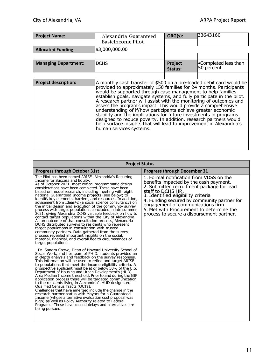| <b>Project Name:</b>        | Alexandria Guaranteed<br>BasicIncome Pilot                                                                                                                                                                                                                                                                                                                                                                                                                                                                                                                                                                                                                                                                                               | ORG(s):            | 33643160                           |
|-----------------------------|------------------------------------------------------------------------------------------------------------------------------------------------------------------------------------------------------------------------------------------------------------------------------------------------------------------------------------------------------------------------------------------------------------------------------------------------------------------------------------------------------------------------------------------------------------------------------------------------------------------------------------------------------------------------------------------------------------------------------------------|--------------------|------------------------------------|
| <b>Allocated Funding:</b>   | \$3,000,000.00                                                                                                                                                                                                                                                                                                                                                                                                                                                                                                                                                                                                                                                                                                                           |                    |                                    |
|                             |                                                                                                                                                                                                                                                                                                                                                                                                                                                                                                                                                                                                                                                                                                                                          |                    |                                    |
| <b>Managing Department:</b> | <b>DCHS</b>                                                                                                                                                                                                                                                                                                                                                                                                                                                                                                                                                                                                                                                                                                                              | Project<br>Status: | •Completed less than<br>50 percent |
|                             |                                                                                                                                                                                                                                                                                                                                                                                                                                                                                                                                                                                                                                                                                                                                          |                    |                                    |
| <b>Project description:</b> | A monthly cash transfer of \$500 on a pre-loaded debit card would be<br>provided to approximately 150 families for 24 months. Participants<br>would be supported through case management to help families<br>establish goals, navigate systems, and fully participate in the pilot.<br>A research partner will assist with the monitoring of outcomes and<br>assess the program's impact. This would provide a comprehensive<br>understanding of if/how participants achieve greater economic<br>stability and the implications for future investments in programs<br>designed to reduce poverty. In addition, research partners would<br>help surface insights that will lead to improvement in Alexandria's<br>human services systems. |                    |                                    |

| <b>Project Status</b>                                                                                                                                                                                                                                                                                                                                                                                                                                                                                                                                                                                                                                                                                                                                                                                                                                                                                                                                                                                                                                                   |                                                                                                                                                                                                                                                                                                                                                                        |  |  |
|-------------------------------------------------------------------------------------------------------------------------------------------------------------------------------------------------------------------------------------------------------------------------------------------------------------------------------------------------------------------------------------------------------------------------------------------------------------------------------------------------------------------------------------------------------------------------------------------------------------------------------------------------------------------------------------------------------------------------------------------------------------------------------------------------------------------------------------------------------------------------------------------------------------------------------------------------------------------------------------------------------------------------------------------------------------------------|------------------------------------------------------------------------------------------------------------------------------------------------------------------------------------------------------------------------------------------------------------------------------------------------------------------------------------------------------------------------|--|--|
| <b>Progress through October 31st</b>                                                                                                                                                                                                                                                                                                                                                                                                                                                                                                                                                                                                                                                                                                                                                                                                                                                                                                                                                                                                                                    | <b>Progress through December 31</b>                                                                                                                                                                                                                                                                                                                                    |  |  |
| The Pilot has been named ARISE--Alexandria's Recurring<br>Income for Success and Equity.<br>As of October 2021, most critical programmatic design<br>considerations have been completed. These have been<br>based on model research, including meeting with eight<br>national Guaranteed Income projects (see below) to<br>identify key elements, barriers, and resources. In addition,<br>advisement from Ideas42 (a social science consultancy) on<br>the initial design and execution of the community survey<br>process with target populations concluded in late summer<br>2021, giving Alexandria DCHS valuable feedback on how to<br>contact target populations within the City of Alexandria.<br>As an outcome of that consultation process, Alexandria<br>DCHS distributed surveys to residents who represent<br>target populations in consultation with trusted<br>community partners. Data gathered from the survey<br>process revealed important insights on the social,<br>material, financial, and overall health circumstances of<br>target populations. | 1. Formal notification from VDSS on the<br>benefits impacted by the cash payment.<br>2. Submitted recruitment package for lead<br>staff to DCHS HR.<br>3. Identified eligibility criteria<br>4. Funding secured by community partner for<br>engagement of communications firm<br>5. Met with Procurement to determine the<br>process to secure a disbursement partner. |  |  |
| · Dr. Sandra Crewe, Dean of Howard University School of<br>Social Work, and her team of PH.D. students provided an<br>in-depth analysis and feedback on the survey responses.<br>This information will be used to refine and target ARISE<br>to populations that meet the income eligibility criteria. A<br>prospective applicant must be at or below 50% of the U.S.<br>Department of Housing and Urban Development's (HUD)<br>Area Median Income threshold. Prior to and during the GIP<br>application process there will be targeted communication<br>to the residents living in Alexandria's HUD designated<br>Qualified Census Tracts (QCTs).<br>Challenges that have emerged include the change in the<br>research partner status with Mayors for a Guaranteed<br>Income (whose alternative evaluation cost proposal was<br>high) as well as Policy Authority related to Federal<br>Programs. These have caused delays and alternatives are<br>being pursued.                                                                                                     |                                                                                                                                                                                                                                                                                                                                                                        |  |  |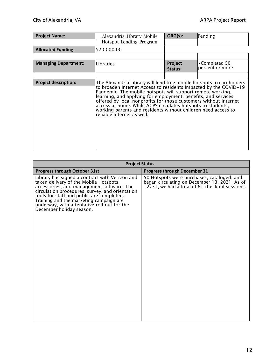| <b>Project Name:</b>        | Alexandria Library Mobile<br>Hotspot Lending Program                                                                                                                                                                                                                                                                                                                                                                                                                                                      | ORG(s):            | Pending                                 |
|-----------------------------|-----------------------------------------------------------------------------------------------------------------------------------------------------------------------------------------------------------------------------------------------------------------------------------------------------------------------------------------------------------------------------------------------------------------------------------------------------------------------------------------------------------|--------------------|-----------------------------------------|
| <b>Allocated Funding:</b>   | \$20,000.00                                                                                                                                                                                                                                                                                                                                                                                                                                                                                               |                    |                                         |
|                             |                                                                                                                                                                                                                                                                                                                                                                                                                                                                                                           |                    |                                         |
| <b>Managing Department:</b> | Libraries                                                                                                                                                                                                                                                                                                                                                                                                                                                                                                 | Project<br>Status: | $\cdot$ Completed 50<br>percent or more |
|                             |                                                                                                                                                                                                                                                                                                                                                                                                                                                                                                           |                    |                                         |
| <b>Project description:</b> | The Alexandria Library will lend free mobile hotspots to cardholders<br>to broaden Internet Access to residents impacted by the COVID-19<br>Pandemic. The mobile hotspots will support remote working,<br>learning, and applying for employment, benefits, and services<br>offered by local nonprofits for those customers without Internet<br>access at home. While ACPS circulates hotspots to students,<br>working parents and residents without children need access to<br>reliable internet as well. |                    |                                         |

| <b>Project Status</b>                                                                                                                                                                                                                                                                                                                                       |                                                                                                                                               |
|-------------------------------------------------------------------------------------------------------------------------------------------------------------------------------------------------------------------------------------------------------------------------------------------------------------------------------------------------------------|-----------------------------------------------------------------------------------------------------------------------------------------------|
| <b>Progress through October 31st</b>                                                                                                                                                                                                                                                                                                                        | <b>Progress through December 31</b>                                                                                                           |
| Library has signed a contract with Verizon and<br>taken delivery of the Mobile Hotspots,<br>accessories, and management software. The<br>circulation procedures, survey, and orientation<br>tools for staff and public are completed.<br>Training and the marketing campaign are<br>underway, with a tentative roll out for the<br>December holiday season. | 50 Hotspots were purchases, cataloged, and<br>began circulating on December 13, 2021. As of<br>12/31, we had a total of 61 checkout sessions. |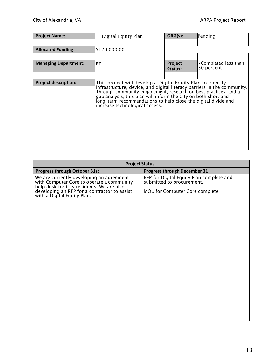| <b>Project Name:</b>        | Digital Equity Plan                                                                                                                                                                                                                                                                                                                                                             | ORG(s):            | Pending                                   |
|-----------------------------|---------------------------------------------------------------------------------------------------------------------------------------------------------------------------------------------------------------------------------------------------------------------------------------------------------------------------------------------------------------------------------|--------------------|-------------------------------------------|
|                             |                                                                                                                                                                                                                                                                                                                                                                                 |                    |                                           |
| <b>Allocated Funding:</b>   | \$120,000.00                                                                                                                                                                                                                                                                                                                                                                    |                    |                                           |
|                             |                                                                                                                                                                                                                                                                                                                                                                                 |                    |                                           |
| <b>Managing Department:</b> | <b>PZ</b>                                                                                                                                                                                                                                                                                                                                                                       | Project<br>Status: | $\cdot$ Completed less than<br>50 percent |
|                             |                                                                                                                                                                                                                                                                                                                                                                                 |                    |                                           |
| <b>Project description:</b> | This project will develop a Digital Equity Plan to identify<br>infrastructure, device, and digital literacy barriers in the community.<br>Through community engagement, research on best practices, and a<br>gap analysis, this plan will inform the City on both short and<br>long-term recommendations to help close the digital divide and<br>increase technological access. |                    |                                           |

| <b>Project Status</b>                                                                                                                                                                                             |                                                                                                          |  |  |
|-------------------------------------------------------------------------------------------------------------------------------------------------------------------------------------------------------------------|----------------------------------------------------------------------------------------------------------|--|--|
| Progress through October 31st                                                                                                                                                                                     | <b>Progress through December 31</b>                                                                      |  |  |
| We are currently developing an agreement<br>with Computer Core to operate a community<br>help desk for City residents. We are also<br>developing an RFP for a contractor to assist<br>with a Digital Equity Plan. | RFP for Digital Equity Plan complete and<br>submitted to procurement.<br>MOU for Computer Core complete. |  |  |
|                                                                                                                                                                                                                   |                                                                                                          |  |  |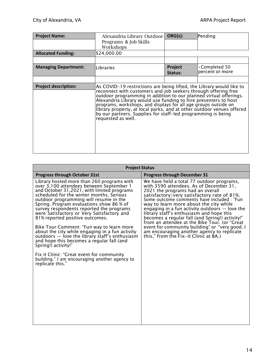| <b>Project Name:</b>        | Alexandria Library Outdoor<br>Programs & Job Skills<br>Workshops                                                                                                                                                                                                                                                                                                                                                                                                                                                 | ORG(s):                   | Pending                                 |
|-----------------------------|------------------------------------------------------------------------------------------------------------------------------------------------------------------------------------------------------------------------------------------------------------------------------------------------------------------------------------------------------------------------------------------------------------------------------------------------------------------------------------------------------------------|---------------------------|-----------------------------------------|
| <b>Allocated Funding:</b>   | \$24,000.00                                                                                                                                                                                                                                                                                                                                                                                                                                                                                                      |                           |                                         |
|                             |                                                                                                                                                                                                                                                                                                                                                                                                                                                                                                                  |                           |                                         |
| <b>Managing Department:</b> | Libraries                                                                                                                                                                                                                                                                                                                                                                                                                                                                                                        | <b>Project</b><br>Status: | $\cdot$ Completed 50<br>percent or more |
|                             |                                                                                                                                                                                                                                                                                                                                                                                                                                                                                                                  |                           |                                         |
| <b>Project description:</b> | As COVID-19 restrictions are being lifted, the Library would like to<br>reconnect with customers and job seekers through offering free<br>outdoor programming in addition to our planned virtual offerings.<br>Alexandria Library would use funding to hire presenters to host<br>programs, workshops, and displays for all age groups outside on<br>library property, at local parks, and at other outdoor venues offered<br>by our partners. Supplies for staff-led programming is being<br>requested as well. |                           |                                         |

| <b>Project Status</b>                                                                                                                                                                                                                                                                                                                                                                                                                                                                                                                                                                                                                                                                                                                       |                                                                                                                                                                                                                                                                                                                                                                                                                                                                                                                                                                                                              |  |  |
|---------------------------------------------------------------------------------------------------------------------------------------------------------------------------------------------------------------------------------------------------------------------------------------------------------------------------------------------------------------------------------------------------------------------------------------------------------------------------------------------------------------------------------------------------------------------------------------------------------------------------------------------------------------------------------------------------------------------------------------------|--------------------------------------------------------------------------------------------------------------------------------------------------------------------------------------------------------------------------------------------------------------------------------------------------------------------------------------------------------------------------------------------------------------------------------------------------------------------------------------------------------------------------------------------------------------------------------------------------------------|--|--|
| <b>Progress through October 31st</b>                                                                                                                                                                                                                                                                                                                                                                                                                                                                                                                                                                                                                                                                                                        | <b>Progress through December 31</b>                                                                                                                                                                                                                                                                                                                                                                                                                                                                                                                                                                          |  |  |
| Library hosted more than 260 programs with<br>over 3,100 attendees between September 1<br>and October 31,2021, with limited programs<br>scheduled for the winter months. Serious<br>outdoor programming will resume in the<br>Spring. Program evaluations show 86 % of<br>survey respondents reported the programs<br>were Satisfactory or Very Satisfactory and<br>81% reported positive outcomes.<br>Bike Tour Comment: "Fun way to learn more<br>about the city while engaging in a fun activity<br>outdoors - love the library staff's enthusiasm<br>and hope this becomes a regular fall (and<br>Spring!) activity!"<br>Fix it Clinic: "Great event for community<br>building." I am encouraging another agency to<br>replicate this." | We have held a total 77 outdoor programs,<br>with 3590 attendees. As of December 31,<br>2021 the programs had an overall<br>satisfactory/very satisfactory rate of 81%.<br>Some outcome comments have included : "Fun<br>way to learn more about the city while<br>engaging in a fun activity outdoors $-$ love the<br>library staff's enthusiasm and hope this<br>becomes a regular fall (and Spring!) activity!"<br>from an attendee at the Bike Tour. (or "Great<br>event for community building" or "very good. I<br>am encouraging another agency to replicate<br>this," from the Fix-it Clinic at BA.) |  |  |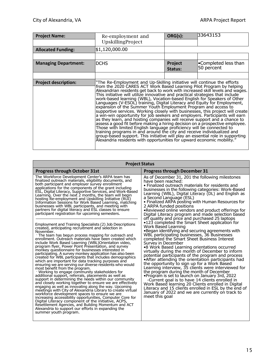| <b>Project Name:</b>        | Re-employment and<br>UpskillingProject                                                                                                                                                                                                                                                                                                                                                                                                                                                                                                                                                                                                                                                                                                                                                                                                                                                                                                                                                                                                                                                                                                                                                  | ORG(s):            | 33643153                           |
|-----------------------------|-----------------------------------------------------------------------------------------------------------------------------------------------------------------------------------------------------------------------------------------------------------------------------------------------------------------------------------------------------------------------------------------------------------------------------------------------------------------------------------------------------------------------------------------------------------------------------------------------------------------------------------------------------------------------------------------------------------------------------------------------------------------------------------------------------------------------------------------------------------------------------------------------------------------------------------------------------------------------------------------------------------------------------------------------------------------------------------------------------------------------------------------------------------------------------------------|--------------------|------------------------------------|
| <b>Allocated Funding:</b>   | \$1,120,000.00                                                                                                                                                                                                                                                                                                                                                                                                                                                                                                                                                                                                                                                                                                                                                                                                                                                                                                                                                                                                                                                                                                                                                                          |                    |                                    |
|                             |                                                                                                                                                                                                                                                                                                                                                                                                                                                                                                                                                                                                                                                                                                                                                                                                                                                                                                                                                                                                                                                                                                                                                                                         |                    |                                    |
| <b>Managing Department:</b> | <b>DCHS</b>                                                                                                                                                                                                                                                                                                                                                                                                                                                                                                                                                                                                                                                                                                                                                                                                                                                                                                                                                                                                                                                                                                                                                                             | Project<br>Status: | •Completed less than<br>50 percent |
|                             |                                                                                                                                                                                                                                                                                                                                                                                                                                                                                                                                                                                                                                                                                                                                                                                                                                                                                                                                                                                                                                                                                                                                                                                         |                    |                                    |
| <b>Project description:</b> | "The Re-Employment and Up-Skilling initiative will continue the efforts<br>from the 2020 CARES ACT Work Based Learning Pilot Program by helping<br>Alexandrian residents get back to work with increased skill levels and wages.<br>This initiative will utilize innovative and practical strategies that include<br>work-based learning (WBL), Vocation-based English for Speakers of Other<br>Languages (V-ESOL) training, Digital Literacy and Equity for Employment,<br>expansion of the Summer Youth Employment Program and access to<br>supportive services. Working closely with businesses, this project will create<br>a win-win opportunity for job seekers and employers. Participants will earn<br>as they learn, and hosting companies will receive support and a chance to<br>assess a good fit before making a hiring decision on a prospective employee.<br>Those with limited English language proficiency will be connected to<br>training programs in and around the city and receive individualized and<br>group-based support. This initiative will play an essential role in supporting<br>Alexandria residents with opportunities for upward economic mobility." |                    |                                    |

| <b>Project Status</b>                                                                                                                                                                                                                                                                                                                                                                                                                                                                                                                                                                                                                                                                                                                                                                                                                                                                                                                                                                                                                                                                                                                                                                                                                                                                                                                                          |                                                                                                                                                                                                                                                                                                                                                                                                                                                                                                                                                                                                                                                                                                                                                                                                                                                                                                         |  |
|----------------------------------------------------------------------------------------------------------------------------------------------------------------------------------------------------------------------------------------------------------------------------------------------------------------------------------------------------------------------------------------------------------------------------------------------------------------------------------------------------------------------------------------------------------------------------------------------------------------------------------------------------------------------------------------------------------------------------------------------------------------------------------------------------------------------------------------------------------------------------------------------------------------------------------------------------------------------------------------------------------------------------------------------------------------------------------------------------------------------------------------------------------------------------------------------------------------------------------------------------------------------------------------------------------------------------------------------------------------|---------------------------------------------------------------------------------------------------------------------------------------------------------------------------------------------------------------------------------------------------------------------------------------------------------------------------------------------------------------------------------------------------------------------------------------------------------------------------------------------------------------------------------------------------------------------------------------------------------------------------------------------------------------------------------------------------------------------------------------------------------------------------------------------------------------------------------------------------------------------------------------------------------|--|
| <b>Progress through October 31st</b>                                                                                                                                                                                                                                                                                                                                                                                                                                                                                                                                                                                                                                                                                                                                                                                                                                                                                                                                                                                                                                                                                                                                                                                                                                                                                                                           | <b>Progress through December 31</b>                                                                                                                                                                                                                                                                                                                                                                                                                                                                                                                                                                                                                                                                                                                                                                                                                                                                     |  |
| The Workforce Development Center's ARPA team has<br>finalized outreach materials, eligibility documents, and<br>both participant and employer survey enrollment<br>applications for the components of the grant including<br>ESL, Digital Literacy, Supportive Services, and Work-Based<br>Learning. Over the next 2 months, the team will begin<br>hosting Re-employment and Upskilling Initiative (RUI)<br>Information Sessions for Work Based Learning, matching<br>businesses with WBL participants, and meeting with<br>partners for digital literacy and ESL classes to ensure<br>participant registration for upcoming semesters.                                                                                                                                                                                                                                                                                                                                                                                                                                                                                                                                                                                                                                                                                                                       | As of December 31, 201 the following milestones<br>have been reached:<br>• Finalized outreach materials for residents and<br>businesses in the following categories: Work-Based<br>Learning (WBL), Digital Literacy (DL) and English as<br>a Second Language (ESL)<br>• Finalized ARPA posting with Human Resources for<br>2 ARPA funded positions<br>. Reviewed online vendors and product offerings for<br>Digital Literacy program and made selection based<br>off quality and price and purchased 25 laptops                                                                                                                                                                                                                                                                                                                                                                                        |  |
| Employment and Training Specialists (2) Job Descriptions<br>created, anticipating recruitment and selection in<br>November.<br>. The team has begun process mapping for outreach and<br>enrollment. Outreach materials have been created which<br>include Work Based Learning (WBL) Orientation video,<br>program flyer, Power Point Presentation, and survey<br>monkey questionnaire for businesses interested in<br>participating. A survey monkey application has also been<br>created for WBL participants that includes demographics<br>which are important for data tracking purposes and<br>ensuring we are serving our diverse residents who would<br>most benefit from the program.<br>Working to engage community stakeholders for<br>additional support, referrals, placements as well as<br>support in determining the needs within our community<br>and closely working together to ensure we are effectively<br>engaging as well as innovating along the way. Upcoming<br>meetings with City of Alexandria Library to create virtual<br>workforce development spaces to ensure we are<br>increasing accessibility opportunities, Computer Core for<br>Digital Literacy component of the initiative, ACPS,<br>Resettlement Agencies, and Building Momentum and ACT<br>Alexandria to support our efforts in expanding the<br>summer youth program. | •123 completed the Smart Sheet application for<br>Work Based Learning<br>•Began identifying and securing agreements with<br>WBL participating businesses, 36 Businesses<br>completed the Smart Sheet Business Interest<br>Survey in December<br>•8 Work Based Learning orientations occurred<br>virtually during the month of December to inform<br>potential participants of the program and process<br>• After attending the orientation participants had<br>the opportunity to sign up for a Work Based<br>Learning interview, 35 clients were interviewed for<br>the program during the month of December<br>•Program is set to launch on January 3rd, 2022<br>-Current goal is to have 14 clients enrolled in<br>Work Based learning 20 Clients enrolled in Digital<br>Literacy and 15 clients enrolled in ESL by the end of<br>January of 2022 and we are currently on track to<br>meet this goal |  |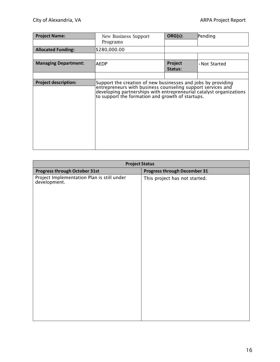| <b>Project Name:</b>        | New Business Support<br>Programs                                                                                                                                                                                                                       | ORG(s):            | Pending       |
|-----------------------------|--------------------------------------------------------------------------------------------------------------------------------------------------------------------------------------------------------------------------------------------------------|--------------------|---------------|
| <b>Allocated Funding:</b>   | \$280,000.00                                                                                                                                                                                                                                           |                    |               |
|                             |                                                                                                                                                                                                                                                        |                    |               |
| <b>Managing Department:</b> | <b>AEDP</b>                                                                                                                                                                                                                                            | Project<br>Status: | . Not Started |
|                             |                                                                                                                                                                                                                                                        |                    |               |
| <b>Project description:</b> | Support the creation of new businesses and jobs by providing<br>entrepreneurs with business counseling support services and<br>developing partnerships with entrepreneurial catalyst organizations<br>to support the formation and growth of startups. |                    |               |

| <b>Project Status</b>               |  |  |  |
|-------------------------------------|--|--|--|
| <b>Progress through December 31</b> |  |  |  |
| This project has not started.       |  |  |  |
|                                     |  |  |  |
|                                     |  |  |  |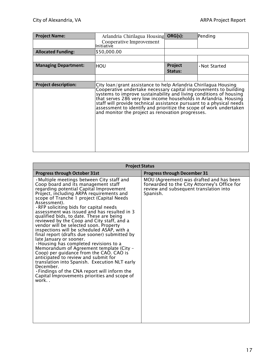| <b>Project Name:</b>        | Arlandria Chirilagua Housing                                                                                                                                                                                                                                                                                                                                                                                                                                                     | ORG(s):            | Pending       |
|-----------------------------|----------------------------------------------------------------------------------------------------------------------------------------------------------------------------------------------------------------------------------------------------------------------------------------------------------------------------------------------------------------------------------------------------------------------------------------------------------------------------------|--------------------|---------------|
|                             | Cooperative Improvement<br>llnitiative                                                                                                                                                                                                                                                                                                                                                                                                                                           |                    |               |
| <b>Allocated Funding:</b>   | \$50,000.00                                                                                                                                                                                                                                                                                                                                                                                                                                                                      |                    |               |
|                             |                                                                                                                                                                                                                                                                                                                                                                                                                                                                                  |                    |               |
| <b>Managing Department:</b> | HOU                                                                                                                                                                                                                                                                                                                                                                                                                                                                              | Project<br>Status: | . Not Started |
|                             |                                                                                                                                                                                                                                                                                                                                                                                                                                                                                  |                    |               |
| <b>Project description:</b> | City loan/grant assistance to help Arlandria Chirilagua Housing<br>Cooperative undertake necessary capital improvements to building<br>systems to improve sustainability and living conditions of housing<br>that serves 286 very low income households in Arlandria. Housing<br>staff will provide technical assistance pursuant to a physical needs<br>assessment to identify and prioritize the scope of work undertaken<br>and monitor the project as renovation progresses. |                    |               |

| <b>Project Status</b>                                                                                                                                                                                                                                                                                                                                                                                                                                                                                                                                                                                                                                                                                                                                                                                                                                                                                                                       |                                                                                                                                               |  |  |
|---------------------------------------------------------------------------------------------------------------------------------------------------------------------------------------------------------------------------------------------------------------------------------------------------------------------------------------------------------------------------------------------------------------------------------------------------------------------------------------------------------------------------------------------------------------------------------------------------------------------------------------------------------------------------------------------------------------------------------------------------------------------------------------------------------------------------------------------------------------------------------------------------------------------------------------------|-----------------------------------------------------------------------------------------------------------------------------------------------|--|--|
| <b>Progress through October 31st</b>                                                                                                                                                                                                                                                                                                                                                                                                                                                                                                                                                                                                                                                                                                                                                                                                                                                                                                        | <b>Progress through December 31</b>                                                                                                           |  |  |
| • Multiple meetings between City staff and<br>Coop board and its management staff<br>regarding potential Capital Improvement<br>Project, including ARPA requirements and<br>scope of Tranche 1 project (Capital Needs<br>Assessment).<br>.RFP soliciting bids for capital needs<br>assessment was issued and has resulted in 3<br>qualified bids, to date. These are being<br>reviewed by the Coop and City staff, and a<br>vendor will be selected soon. Property<br>inspections will be scheduled ASAP, with a<br>final report (drafts due sooner) submitted by<br>late January or sooner.<br>• Housing has completed revisions to a<br>Memorandum of Agreement template (City -<br>Coop) per guidance from the CAO. CAO is<br>anticipated to review and submit for<br>translation into Spanish. Execution NLT early<br>December.<br>. Findings of the CNA report will inform the<br>Capital Improvements priorities and scope of<br>work | MOU (Agreement) was drafted and has been<br>forwarded to the City Attorney's Office for<br>review and subsequent translation into<br>Spanish. |  |  |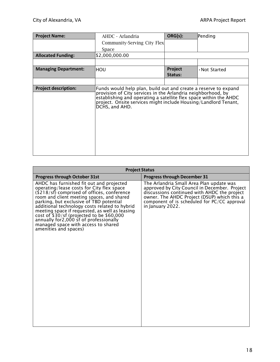| <b>Project Name:</b>        | AHDC - Arlandria                                                                                                                                                                                                                                                                          | ORG(s):            | Pending       |
|-----------------------------|-------------------------------------------------------------------------------------------------------------------------------------------------------------------------------------------------------------------------------------------------------------------------------------------|--------------------|---------------|
|                             | Community-Serving City Flex                                                                                                                                                                                                                                                               |                    |               |
|                             | Space                                                                                                                                                                                                                                                                                     |                    |               |
| <b>Allocated Funding:</b>   | \$2,000,000.00                                                                                                                                                                                                                                                                            |                    |               |
|                             |                                                                                                                                                                                                                                                                                           |                    |               |
| <b>Managing Department:</b> | HOU                                                                                                                                                                                                                                                                                       | Project<br>Status: | . Not Started |
|                             |                                                                                                                                                                                                                                                                                           |                    |               |
| <b>Project description:</b> | Funds would help plan, build out and create a reserve to expand<br>provision of City services in the Arlandria neighborhood, by<br>establishing and operating a satellite flex space within the AHDC<br>project. Onsite services might include Housing/Landlord Tenant,<br>DCHS, and AHD. |                    |               |

| <b>Project Status</b>                                                                                                                                                                                                                                                                                                                                                                                                                                                                   |                                                                                                                                                                                                                                                             |  |  |
|-----------------------------------------------------------------------------------------------------------------------------------------------------------------------------------------------------------------------------------------------------------------------------------------------------------------------------------------------------------------------------------------------------------------------------------------------------------------------------------------|-------------------------------------------------------------------------------------------------------------------------------------------------------------------------------------------------------------------------------------------------------------|--|--|
| <b>Progress through October 31st</b>                                                                                                                                                                                                                                                                                                                                                                                                                                                    | <b>Progress through December 31</b>                                                                                                                                                                                                                         |  |  |
| AHDC has furnished fit out and projected<br>operating/lease costs for City flex space<br>$(18/18)$ comprised of offices, conference<br>room and client meeting spaces, and shared<br>parking, but exclusive of TBD potential<br>additional technology costs related to hybrid<br>meeting space if requested, as well as leasing<br>cost of \$30/sf (projected to be \$60,000<br>annually for 2,000 sf of professionally<br>managed space with access to shared<br>amenities and spaces) | The Arlandria Small Area Plan update was<br>approved by City Council in December. Project<br>discussions continued with AHDC the project<br>owner. The AHDC Project (DSUP) which this a<br>component of is scheduled for PC/CC approval<br>in January 2022. |  |  |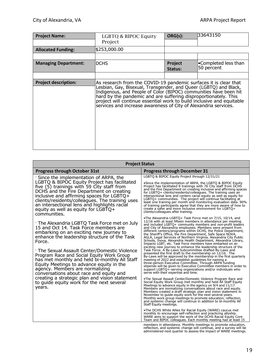| <b>Project Name:</b>        | LGBTQ & BIPOC Equity<br>Project                                                                                                                                                                                                                                                                                                                                                                                        | ORG(s):            | 33643150                           |
|-----------------------------|------------------------------------------------------------------------------------------------------------------------------------------------------------------------------------------------------------------------------------------------------------------------------------------------------------------------------------------------------------------------------------------------------------------------|--------------------|------------------------------------|
| <b>Allocated Funding:</b>   | \$253,000.00                                                                                                                                                                                                                                                                                                                                                                                                           |                    |                                    |
|                             |                                                                                                                                                                                                                                                                                                                                                                                                                        |                    |                                    |
| <b>Managing Department:</b> | <b>DCHS</b>                                                                                                                                                                                                                                                                                                                                                                                                            | Project<br>Status: | •Completed less than<br>50 percent |
|                             |                                                                                                                                                                                                                                                                                                                                                                                                                        |                    |                                    |
| <b>Project description:</b> | As research from the COVID-19 pandemic surfaces it is clear that<br>Lesbian, Gay, Bisexual, Transgender, and Queer (LGBTQ) and Black,<br>Indigenous, and People of Color (BIPOC) communities have been hit hard by the pandemic and are suffering disproportionately. This<br>project will continue essential work to build inclusive and equitable<br>services and increase awareness of City of Alexandria services. |                    |                                    |

| <b>Project Status</b>                                                                                                                                                                                                                                                                                                                                                                                                                                              |                                                                                                                                                                                                                                                                                                                                                                                                                                                                                                                                                                                                                                                                                                                                                                                                                                                                                                                                                                                                                                                                                                                                                                 |  |
|--------------------------------------------------------------------------------------------------------------------------------------------------------------------------------------------------------------------------------------------------------------------------------------------------------------------------------------------------------------------------------------------------------------------------------------------------------------------|-----------------------------------------------------------------------------------------------------------------------------------------------------------------------------------------------------------------------------------------------------------------------------------------------------------------------------------------------------------------------------------------------------------------------------------------------------------------------------------------------------------------------------------------------------------------------------------------------------------------------------------------------------------------------------------------------------------------------------------------------------------------------------------------------------------------------------------------------------------------------------------------------------------------------------------------------------------------------------------------------------------------------------------------------------------------------------------------------------------------------------------------------------------------|--|
| <b>Progress through October 31st</b>                                                                                                                                                                                                                                                                                                                                                                                                                               | <b>Progress through December 31</b>                                                                                                                                                                                                                                                                                                                                                                                                                                                                                                                                                                                                                                                                                                                                                                                                                                                                                                                                                                                                                                                                                                                             |  |
| ' Since the implementation of ARPA, the<br>LGBTQ & BIPOC Equity Project has facilitated<br>five (5) trainings with 59 City staff from<br>DCHS and the Fire Department on creating<br>inclusive and affirming spaces for LGBTQ+<br>clients/residents/colleagues. The training uses<br>an intersectional lens and highlights racial<br>equity as well as equity for LGBTQ+<br>communities.                                                                           | LGBTO & BIPOC Equity Project through 12/31/21<br>•Since the implementation of ARPA, the LGBTQ & BIPOC Equity<br>Project has facilitated 8 trainings with 76 City staff from DCHS<br>and the Fire Department on creating inclusive and affirming spaces<br>for LGBTQ+ clients/residents/colleagues. The training uses an<br>intersectional lens and centers racial equity as well as equity for<br>LGBTQ+ communities. The project will continue facilitating at<br>least one training per month and monitoring evaluation data. 90%<br>of training participants agree that they are more aware of how to<br>create a safer and more inclusive environment for LGBTQ+<br>clients/colleagues after training.                                                                                                                                                                                                                                                                                                                                                                                                                                                      |  |
| The Alexandria LGBTQ Task Force met on July<br>15 and Oct 14. Task Force members are<br>embarking on an exciting new journey to<br>enhance the leadership structure of the Task<br>Force.<br>· The Sexual Assault Center/Domestic Violence<br>Program Race and Social Equity Work Group<br>has met monthly and held bi-monthly All Staff<br>Equity Meetings to advance equity in the<br>agency. Members are normalizing<br>conversations about race and equity and | •The Alexandria LGBTQ+ Task Force met on 7/15, 10/14, and<br>12/16 with at least fifteen members in attendance per meeting<br>and included LGBTQ+ community members and non-profit leaders<br>and City of Alexandria employees. Members were present from<br>different centers/programs within DCHS, the Police Department,<br>the Sheriff's Office, the Fire Department, Safe Space NOVA,<br>AGLA, Legal Services of Northern Virginia, Alexandria City Public<br>Schools, Inova, Alexandria Health Department, Alexandria Library,<br>Impacto LGBT, etc. Task Force members have embarked on an<br>exciting new journey to enhance the leadership structure of the<br>Task Force. A By-Laws Subcommittee drafted By-Laws and<br>presented the first draft to the membership on 12/16. The<br>By-Laws will be approved by the membership in the first quarterly<br>meeting of 2022 and establish guidelines for naming a<br>three-person Executive Committee. Through ARPA funding<br>stipends will be given to Executive Committee members in order to<br>support LGBTQ+-serving organizations and/or individuals who<br>serve with their expertise and time. |  |
| creating a strategic plan and vision statement<br>to guide equity work for the next several<br>years.                                                                                                                                                                                                                                                                                                                                                              | •The Sexual Assault Center/Domestic Violence Program Race and<br>Social Equity Work Group met monthly and held All Staff Equity<br>Meetings to advance equity in the agency on 9/4 and 11/17.<br>Members are normalizing conversations about race and equity.<br>Members created a draft strategic plan and vision statement in<br>November to guide equity work for the next several years.<br>Monthly work group meetings to promote education, reflection,<br>and systemic change will continue in addition to bi-monthly All<br>Staff Equity meetings.<br>•The DCHS White Allies for Racial Equity (WARE) caucus met<br>monthly to encourage self-reflection and practicing allyship.<br>WARE aims to support the work of the DCHS Racial Equity Core<br>Team and BIPOC colleagues. Each monthly meeting had at least 15                                                                                                                                                                                                                                                                                                                                    |  |
|                                                                                                                                                                                                                                                                                                                                                                                                                                                                    | members in attendance. Monthly meetings to promote education,<br>reflection, and systemic change will continue, and a survey will be<br>administered next quarter to assess the impact of WARE meetings.                                                                                                                                                                                                                                                                                                                                                                                                                                                                                                                                                                                                                                                                                                                                                                                                                                                                                                                                                        |  |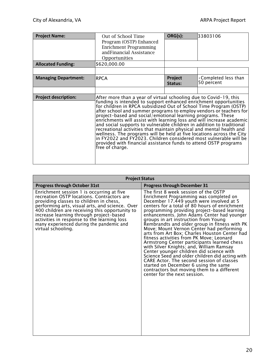| <b>Project Name:</b>        | Out of School Time                                                                                                                                                                                                                                                                                                                                                                                                                                                                                                                                                                                                                                                                                                                                                                                             | ORG(s):            | 33803106                                  |
|-----------------------------|----------------------------------------------------------------------------------------------------------------------------------------------------------------------------------------------------------------------------------------------------------------------------------------------------------------------------------------------------------------------------------------------------------------------------------------------------------------------------------------------------------------------------------------------------------------------------------------------------------------------------------------------------------------------------------------------------------------------------------------------------------------------------------------------------------------|--------------------|-------------------------------------------|
|                             | Program (OSTP) Enhanced                                                                                                                                                                                                                                                                                                                                                                                                                                                                                                                                                                                                                                                                                                                                                                                        |                    |                                           |
|                             | Enrichment Programming                                                                                                                                                                                                                                                                                                                                                                                                                                                                                                                                                                                                                                                                                                                                                                                         |                    |                                           |
|                             | and Financial Assistance                                                                                                                                                                                                                                                                                                                                                                                                                                                                                                                                                                                                                                                                                                                                                                                       |                    |                                           |
|                             | Opportunities                                                                                                                                                                                                                                                                                                                                                                                                                                                                                                                                                                                                                                                                                                                                                                                                  |                    |                                           |
| <b>Allocated Funding:</b>   | \$620,000.00                                                                                                                                                                                                                                                                                                                                                                                                                                                                                                                                                                                                                                                                                                                                                                                                   |                    |                                           |
|                             |                                                                                                                                                                                                                                                                                                                                                                                                                                                                                                                                                                                                                                                                                                                                                                                                                |                    |                                           |
| <b>Managing Department:</b> | <b>RPCA</b>                                                                                                                                                                                                                                                                                                                                                                                                                                                                                                                                                                                                                                                                                                                                                                                                    | Project<br>Status: | $\cdot$ Completed less than<br>50 percent |
|                             |                                                                                                                                                                                                                                                                                                                                                                                                                                                                                                                                                                                                                                                                                                                                                                                                                |                    |                                           |
| <b>Project description:</b> | After more than a year of virtual schooling due to Covid-19, this<br>funding is intended to support enhanced enrichment opportunities<br>for children in RPCA subsidized Out of School Time Program (OSTP)<br>after school and summer programs to employ vendors or teachers for<br>project-based and social/emotional learning programs. These<br>enrichments will assist with learning loss and will increase academic<br>and social supports to vulnerable children in addition to traditional<br>recreational activities that maintain physical and mental health and<br>wellness. The programs will be held at five locations across the City<br>in FY2022 and FY2023. Children considered most vulnerable will be<br>provided with financial assistance funds to attend OSTP programs<br>free of charge. |                    |                                           |

| <b>Project Status</b>                                                                                                                                                                                                                                                                                                                                                                               |                                                                                                                                                                                                                                                                                                                                                                                                                                                                                                                                                                                                                                                                                                                                                                                                                                                                            |  |
|-----------------------------------------------------------------------------------------------------------------------------------------------------------------------------------------------------------------------------------------------------------------------------------------------------------------------------------------------------------------------------------------------------|----------------------------------------------------------------------------------------------------------------------------------------------------------------------------------------------------------------------------------------------------------------------------------------------------------------------------------------------------------------------------------------------------------------------------------------------------------------------------------------------------------------------------------------------------------------------------------------------------------------------------------------------------------------------------------------------------------------------------------------------------------------------------------------------------------------------------------------------------------------------------|--|
| <b>Progress through October 31st</b>                                                                                                                                                                                                                                                                                                                                                                | <b>Progress through December 31</b>                                                                                                                                                                                                                                                                                                                                                                                                                                                                                                                                                                                                                                                                                                                                                                                                                                        |  |
| Enrichment session 1 is occurring at five<br>recreation OSTP locations. Contractors are<br>providing classes to children in chess,<br>performing arts, visual arts, and science. Over<br>400 children are receiving this opportunity to<br>increase learning through project-based<br>activities in response to the learning loss<br>many experienced during the pandemic and<br>virtual schooling. | The first 8 week session of the OSTP<br>Enrichment Programming was completed on<br>December 17.449 youth were involved at 5<br>centers for a total of 80 hours of enrichment<br>programming providing project-based learning<br>enhancements. John Adams Center had younger<br>groups in art instruction from Young<br>Rembrandts and older group in fitness with PK<br>Move; Mount Vernon Center had performing<br>arts from Art Box; Charles Houston Center had<br>fitness activities from PK Move; Leonard<br>Armstrong Center participants learned chess<br>with Silver Knights; and, William Ramsay<br>Center younger children did science with<br>Science Seed and older children did acting with<br>CARE Actor. The second session of classes<br>started on December 6 using the same<br>contractors but moving them to a different<br>center for the next session. |  |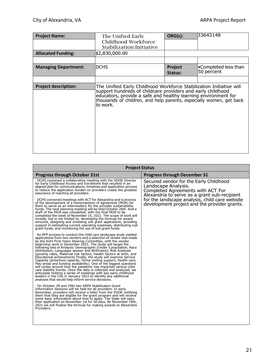| <b>Project Name:</b>        | The Unified Early<br>Childhood Workforce<br>Stabilization Initiative                                                                                                                                                                                                                    | ORG(s):            | 33643148                           |
|-----------------------------|-----------------------------------------------------------------------------------------------------------------------------------------------------------------------------------------------------------------------------------------------------------------------------------------|--------------------|------------------------------------|
| <b>Allocated Funding:</b>   | \$2,830,000.00                                                                                                                                                                                                                                                                          |                    |                                    |
|                             |                                                                                                                                                                                                                                                                                         |                    |                                    |
| <b>Managing Department:</b> | <b>DCHS</b>                                                                                                                                                                                                                                                                             | Project<br>Status: | •Completed less than<br>50 percent |
|                             |                                                                                                                                                                                                                                                                                         |                    |                                    |
| <b>Project description:</b> | The Unified Early Childhood Workforce Stabilization Initiative will<br>support hundreds of childcare providers and early childhood<br>educators, provide a safe and healthy learning environment for<br>thousands of children, and help parents, especially women, get back<br>to work. |                    |                                    |

| <b>Project Status</b>                                                                                                                                                                                                                                                                                                                                                                                                                                                                                                                                                                                                                                                                                                                                                                                                                                                                                                                                                                                                                                                                                                                                                                                                                                                                                                                                                                                                                                                                                                                                                                                                                                                                                                                                                                                                                                                                                                                                                                                                                                                                                                                                                                                                                                                                                                                                                                                                                                                                                                               |                                                                                                                                                                                                                                                      |  |
|-------------------------------------------------------------------------------------------------------------------------------------------------------------------------------------------------------------------------------------------------------------------------------------------------------------------------------------------------------------------------------------------------------------------------------------------------------------------------------------------------------------------------------------------------------------------------------------------------------------------------------------------------------------------------------------------------------------------------------------------------------------------------------------------------------------------------------------------------------------------------------------------------------------------------------------------------------------------------------------------------------------------------------------------------------------------------------------------------------------------------------------------------------------------------------------------------------------------------------------------------------------------------------------------------------------------------------------------------------------------------------------------------------------------------------------------------------------------------------------------------------------------------------------------------------------------------------------------------------------------------------------------------------------------------------------------------------------------------------------------------------------------------------------------------------------------------------------------------------------------------------------------------------------------------------------------------------------------------------------------------------------------------------------------------------------------------------------------------------------------------------------------------------------------------------------------------------------------------------------------------------------------------------------------------------------------------------------------------------------------------------------------------------------------------------------------------------------------------------------------------------------------------------------|------------------------------------------------------------------------------------------------------------------------------------------------------------------------------------------------------------------------------------------------------|--|
| <b>Progress through October 31st</b>                                                                                                                                                                                                                                                                                                                                                                                                                                                                                                                                                                                                                                                                                                                                                                                                                                                                                                                                                                                                                                                                                                                                                                                                                                                                                                                                                                                                                                                                                                                                                                                                                                                                                                                                                                                                                                                                                                                                                                                                                                                                                                                                                                                                                                                                                                                                                                                                                                                                                                | <b>Progress through December 31</b>                                                                                                                                                                                                                  |  |
| DCHS convened a collaborative meeting with the VDOE Director<br>for Early Childhood Access and Enrollment that resulted in an<br>aligned plan for communications, timelines and application process<br>to reduce the application burden on providers create the greatest<br>assurance of reaching all providers.<br>DCHS convened meetings with ACT for Alexandria and is process<br>of the development of a memorandum of agreement (MOA) for<br>them to serve as an intermediary for the provider sustainability<br>funds. The next planning meeting will be held October 26th. And a<br>draft of the MOA was completed, with the final MOA to be<br>completed the week of November 15, 2021. The scope of work will<br>include, but is not limited to, developing the formula for award<br>amounts, designing and reviewing sub grant applications, providing<br>support in estimating current operating expenses, distributing sub<br>grant funds, and monitoring the use of sub grant funds.<br>An RFP process to conduct the child care landscape study yielded<br>applications from two vendors and a selection of vendor was made<br>by the Kid's First Years Steering Committee, with the vendor<br>beginning work in December 2021. The study will target the<br>following sets of Analysis: Demographic (Under 5 population, Race<br>distribution, Languages spoken and Birthrates); Risk Analyses<br>(poverty rates, Maternal risk factors, Health factors at birth, and<br>Educational achievement) Finally, the study will examine Service<br>Capacity (preschool capacity, Home visiting support, Health care,<br>Play areas and funding availability). One of the biggest questions<br>will center around how the pandemic has impacted various child<br>care stability trends. Once the data is collected and analyzed, we<br>anticipate holding a series of meetings with key early childhood<br>leaders in the City in January 2022 to identify any additional<br>analyses that would help inform service decisions.<br>On October 28 and 29th two ARPA Stabilization Grant<br>Information Sessions will be held for all providers. In early<br>November, providers will receive a letter from the VDOE notifying<br>them that they are eligible for the grant program and will receive<br>some basic information about how to apply. The State will open<br>their application on November 1st for 30 days. By November 19th,<br>2021 we will finalize the formula for making awards to Alexandria<br>Providers. | Secured vendor for the Early Childhood<br>Landscape Analysis.<br>Completed Agreements with ACT For<br>Alexandria to serve as a grant sub-recipient<br>for the landscape analysis, child care website<br>development project and the provider grants. |  |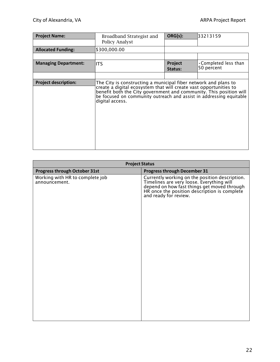| <b>Project Name:</b>        | Broadband Strategist and<br><b>Policy Analyst</b>                                                                                                                                                                                                                                                    | ORG(s):            | 33213159                                  |
|-----------------------------|------------------------------------------------------------------------------------------------------------------------------------------------------------------------------------------------------------------------------------------------------------------------------------------------------|--------------------|-------------------------------------------|
| <b>Allocated Funding:</b>   | \$300,000.00                                                                                                                                                                                                                                                                                         |                    |                                           |
|                             |                                                                                                                                                                                                                                                                                                      |                    |                                           |
| <b>Managing Department:</b> | <b>ITS</b>                                                                                                                                                                                                                                                                                           | Project<br>Status: | $\cdot$ Completed less than<br>50 percent |
|                             |                                                                                                                                                                                                                                                                                                      |                    |                                           |
| <b>Project description:</b> | The City is constructing a municipal fiber network and plans to<br>create a digital ecosystem that will create vast opportunities to<br>benefit both the City government and community. This position will<br>be focused on community outreach and assist in addressing equitable<br>digital access. |                    |                                           |

| <b>Project Status</b>                            |                                                                                                                                                                                                                     |  |
|--------------------------------------------------|---------------------------------------------------------------------------------------------------------------------------------------------------------------------------------------------------------------------|--|
| Progress through October 31st                    | <b>Progress through December 31</b>                                                                                                                                                                                 |  |
| Working with HR to complete job<br>announcement. | Currently working on the position description.<br>Timelines are very loose. Everything will<br>depend on how fast things get moved through<br>HR once the position description is complete<br>and ready for review. |  |
|                                                  |                                                                                                                                                                                                                     |  |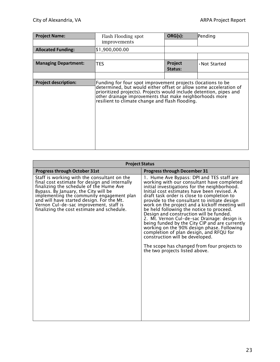| <b>Project Name:</b>        | Flash Flooding spot<br>improvements                                                                                                                                                                                                                                                                                   | ORG(s):            | Pending       |
|-----------------------------|-----------------------------------------------------------------------------------------------------------------------------------------------------------------------------------------------------------------------------------------------------------------------------------------------------------------------|--------------------|---------------|
| <b>Allocated Funding:</b>   | \$1,900,000.00                                                                                                                                                                                                                                                                                                        |                    |               |
|                             |                                                                                                                                                                                                                                                                                                                       |                    |               |
| <b>Managing Department:</b> | <b>TES</b>                                                                                                                                                                                                                                                                                                            | Project<br>Status: | . Not Started |
|                             |                                                                                                                                                                                                                                                                                                                       |                    |               |
| <b>Project description:</b> | Funding for four spot improvement projects (locations to be<br>determined, but would either offset or allow some acceleration of<br>prioritized projects). Projects would include detention, pipes and<br>other drainage improvements that make neighborhoods more<br>resilient to climate change and flash flooding. |                    |               |

| <b>Project Status</b>                                                                                                                                                                                                                                                                                                                                               |                                                                                                                                                                                                                                                                                                                                                                                                                                                                                                                                                                                                                                                                                                                                              |  |
|---------------------------------------------------------------------------------------------------------------------------------------------------------------------------------------------------------------------------------------------------------------------------------------------------------------------------------------------------------------------|----------------------------------------------------------------------------------------------------------------------------------------------------------------------------------------------------------------------------------------------------------------------------------------------------------------------------------------------------------------------------------------------------------------------------------------------------------------------------------------------------------------------------------------------------------------------------------------------------------------------------------------------------------------------------------------------------------------------------------------------|--|
| <b>Progress through October 31st</b>                                                                                                                                                                                                                                                                                                                                | <b>Progress through December 31</b>                                                                                                                                                                                                                                                                                                                                                                                                                                                                                                                                                                                                                                                                                                          |  |
| Staff is working with the consultant on the<br>final cost estimate for design and internally<br>finalizing the schedule of the Hume Ave<br>Bypass. By January, the City will be<br>implementing the community engagement plan<br>and will have started design. For the Mt.<br>Vernon Cul-de-sac improvement, staff is<br>finalizing the cost estimate and schedule. | 1. Hume Ave Bypass: DPI and TES staff are<br>working with our consultant have completed<br>initial investigations for the neighborhood.<br>Initial cost estimates have been revised. A<br>draft task order is close to completion to<br>provide to the consultant to initiate design<br>work on the project and a kickoff meeting will<br>be held following the notice to proceed.<br>Design and construction will be funded.<br>2. Mt. Vernon Cul-de-sac Drainage: design is<br>being funded by the City CIP and are currently<br>working on the 90% design phase. Following<br>completion of plan design, and RFQU for<br>construction will be developed.<br>The scope has changed from four projects to<br>the two projects listed above. |  |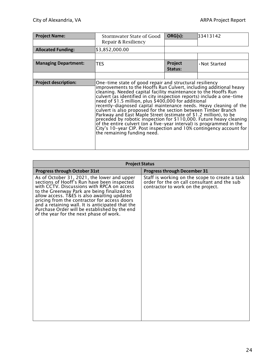| <b>Project Name:</b>        | Stormwater State of Good<br>Repair & Resiliency                                                                                                                                                                                                                                                                                                                                                                                                                                                                                                                                                                                                                                                                                                                                                     | ORG(s):            | 33413142      |
|-----------------------------|-----------------------------------------------------------------------------------------------------------------------------------------------------------------------------------------------------------------------------------------------------------------------------------------------------------------------------------------------------------------------------------------------------------------------------------------------------------------------------------------------------------------------------------------------------------------------------------------------------------------------------------------------------------------------------------------------------------------------------------------------------------------------------------------------------|--------------------|---------------|
| <b>Allocated Funding:</b>   | \$3,852,000.00                                                                                                                                                                                                                                                                                                                                                                                                                                                                                                                                                                                                                                                                                                                                                                                      |                    |               |
|                             |                                                                                                                                                                                                                                                                                                                                                                                                                                                                                                                                                                                                                                                                                                                                                                                                     |                    |               |
| <b>Managing Department:</b> | <b>TES</b>                                                                                                                                                                                                                                                                                                                                                                                                                                                                                                                                                                                                                                                                                                                                                                                          | Project<br>Status: | . Not Started |
|                             |                                                                                                                                                                                                                                                                                                                                                                                                                                                                                                                                                                                                                                                                                                                                                                                                     |                    |               |
| <b>Project description:</b> | One-time state of good repair and structural resiliency<br>improvements to the Hooffs Run Culvert, including additional heavy<br>cleaning. Needed capital facility maintenance to the Hooffs Run<br>culvert (as identified in city inspection reports) include a one-time<br>need of \$1.5 million, plus \$400,000 for additional<br>recently-diagnosed capital maintenance needs. Heavy cleaning of the<br>culvert is also proposed for the section between Timber Branch<br>Parkway and East Maple Street (estimate of \$1.2 million), to be<br>preceded by robotic inspection for \$110,000. Future heavy cleaning<br>of the entire culvert (on a five-year interval) is programmed in the<br>City's 10-year CIP. Post inspection and 10% contingency account for<br>the remaining funding need. |                    |               |

| <b>Project Status</b>                                                                                                                                                                                                                                                                                                                                                                                                                  |                                                                                                                                      |  |  |
|----------------------------------------------------------------------------------------------------------------------------------------------------------------------------------------------------------------------------------------------------------------------------------------------------------------------------------------------------------------------------------------------------------------------------------------|--------------------------------------------------------------------------------------------------------------------------------------|--|--|
| Progress through October 31st                                                                                                                                                                                                                                                                                                                                                                                                          | <b>Progress through December 31</b>                                                                                                  |  |  |
| As of October 31, 2021, the lower and upper<br>sections of Hooff's Run have been inspected<br>with CCTV. Discussions with RPCA on access<br>to the Greenway Park are being finalized to<br>allow access. T&ES is also awaiting updated<br>pricing from the contractor for access doors<br>and a retaining wall. It is anticipated that the<br>Purchase Order will be established by the end<br>of the year for the next phase of work. | Staff is working on the scope to create a task<br>order for the on call consultant and the sub<br>contractor to work on the project. |  |  |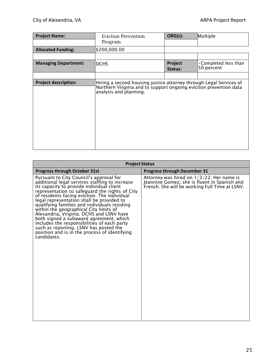| <b>Project Name:</b>        | <b>Eviction Prevention</b><br>Program                                                                                                                             | ORG(s):            | Multiple                                  |
|-----------------------------|-------------------------------------------------------------------------------------------------------------------------------------------------------------------|--------------------|-------------------------------------------|
| <b>Allocated Funding:</b>   | \$200,000.00                                                                                                                                                      |                    |                                           |
|                             |                                                                                                                                                                   |                    |                                           |
| <b>Managing Department:</b> | <b>DCHS</b>                                                                                                                                                       | Project<br>Status: | $\cdot$ Completed less than<br>50 percent |
|                             |                                                                                                                                                                   |                    |                                           |
| <b>Project description:</b> | Hiring a second housing justice attorney through Legal Services of<br>Northern Virginia and to support ongoing eviction prevention data<br>analysis and planning. |                    |                                           |

| <b>Project Status</b>                                                                                                                                                                                                                                                                                                                                                                                                                                                                                                                                                                                                           |                                                                                                                                                |  |  |
|---------------------------------------------------------------------------------------------------------------------------------------------------------------------------------------------------------------------------------------------------------------------------------------------------------------------------------------------------------------------------------------------------------------------------------------------------------------------------------------------------------------------------------------------------------------------------------------------------------------------------------|------------------------------------------------------------------------------------------------------------------------------------------------|--|--|
| <b>Progress through October 31st</b>                                                                                                                                                                                                                                                                                                                                                                                                                                                                                                                                                                                            | <b>Progress through December 31</b>                                                                                                            |  |  |
| Pursuant to City Council's approval for<br>additional legal services staffing to increase<br>its capacity to provide individual client<br>representation to safeguard the rights of City<br>of residents facing eviction. The individual<br>legal representation shall be provided to<br>qualifying families and individuals residing<br>within the geographical City limits of<br>Alexandria, Virginia. DCHS and LSNV have<br>both signed a subaward agreement, which<br>includes the responsibilities of each party<br>such as reporting. LSNV has posted the<br>position and is in the process of identifying<br>candidates. | Attorney was hired on $1/3/22$ . Her name is<br>Jeannine Gomez, she is fluent in Spanish and<br>French. She will be working Full Time at LSNV. |  |  |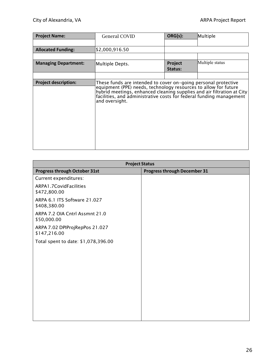| <b>Project Name:</b>        | <b>General COVID</b>                                                                                                                                                                                                                                                                                 | ORG(s):            | Multiple        |
|-----------------------------|------------------------------------------------------------------------------------------------------------------------------------------------------------------------------------------------------------------------------------------------------------------------------------------------------|--------------------|-----------------|
|                             |                                                                                                                                                                                                                                                                                                      |                    |                 |
| <b>Allocated Funding:</b>   | \$2,000,916.50                                                                                                                                                                                                                                                                                       |                    |                 |
|                             |                                                                                                                                                                                                                                                                                                      |                    |                 |
| <b>Managing Department:</b> | Multiple Depts.                                                                                                                                                                                                                                                                                      | Project<br>Status: | Multiple status |
|                             |                                                                                                                                                                                                                                                                                                      |                    |                 |
| <b>Project description:</b> | These funds are intended to cover on-going personal protective<br>equipment (PPE) needs, technology resources to allow for future<br>hybrid meetings, enhanced cleaning supplies and air filtration at City<br>facilities, and administrative costs for federal funding management<br>and oversight. |                    |                 |

| <b>Progress through December 31</b> |
|-------------------------------------|
|                                     |
|                                     |
|                                     |
|                                     |
|                                     |
|                                     |
|                                     |
|                                     |
|                                     |
|                                     |
|                                     |
|                                     |
|                                     |
|                                     |
|                                     |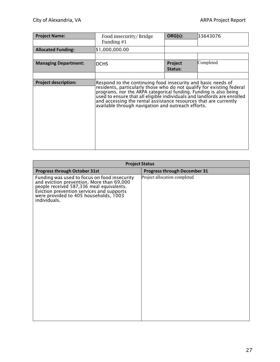| <b>Project Name:</b>        | Food insecurity/Bridge<br>Funding $#1$                                                                                                                                                                                                                                                                                                                                                                          | ORG(s):            | 33643076  |
|-----------------------------|-----------------------------------------------------------------------------------------------------------------------------------------------------------------------------------------------------------------------------------------------------------------------------------------------------------------------------------------------------------------------------------------------------------------|--------------------|-----------|
| <b>Allocated Funding:</b>   | \$1,000,000.00                                                                                                                                                                                                                                                                                                                                                                                                  |                    |           |
|                             |                                                                                                                                                                                                                                                                                                                                                                                                                 |                    |           |
| <b>Managing Department:</b> | <b>DCHS</b>                                                                                                                                                                                                                                                                                                                                                                                                     | Project<br>Status: | Completed |
|                             |                                                                                                                                                                                                                                                                                                                                                                                                                 |                    |           |
| <b>Project description:</b> | Respond to the continuing food insecurity and basic needs of<br>residents, particularly those who do not qualify for existing federal<br>programs, nor the ARPA categorical funding. Funding is also being<br>used to ensure that all eligible individuals and landlords are enrolled<br>and accessing the rental assistance resources that are currently<br>available through navigation and outreach efforts. |                    |           |

| <b>Project Status</b>                                                                                                                                                                                                                        |                                     |  |  |
|----------------------------------------------------------------------------------------------------------------------------------------------------------------------------------------------------------------------------------------------|-------------------------------------|--|--|
| <b>Progress through October 31st</b>                                                                                                                                                                                                         | <b>Progress through December 31</b> |  |  |
| Funding was used to focus on food insecurity<br>and eviction prevention. More than 69,000<br>people received 587,336 meal equivalents.<br>Eviction prevention services and supports<br>were provided to 405 households, 1003<br>individuals. | Project allocation completed        |  |  |
|                                                                                                                                                                                                                                              |                                     |  |  |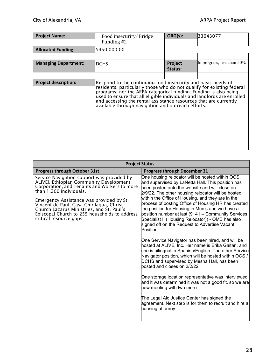| <b>Project Name:</b>        | Food insecurity/Bridge<br>Funding $#2$                                                                                                                                                                                                                                                                                                                                                                          | ORG(s):            | 33643077                      |
|-----------------------------|-----------------------------------------------------------------------------------------------------------------------------------------------------------------------------------------------------------------------------------------------------------------------------------------------------------------------------------------------------------------------------------------------------------------|--------------------|-------------------------------|
| <b>Allocated Funding:</b>   | \$450,000.00                                                                                                                                                                                                                                                                                                                                                                                                    |                    |                               |
|                             |                                                                                                                                                                                                                                                                                                                                                                                                                 |                    |                               |
| <b>Managing Department:</b> | <b>DCHS</b>                                                                                                                                                                                                                                                                                                                                                                                                     | Project<br>Status: | In progress, less than $50\%$ |
|                             |                                                                                                                                                                                                                                                                                                                                                                                                                 |                    |                               |
| <b>Project description:</b> | Respond to the continuing food insecurity and basic needs of<br>residents, particularly those who do not qualify for existing federal<br>programs, nor the ARPA categorical funding. Funding is also being<br>used to ensure that all eligible individuals and landlords are enrolled<br>and accessing the rental assistance resources that are currently<br>available through navigation and outreach efforts. |                    |                               |

| <b>Project Status</b>                                                                                                                                                                                                                                                                                                                                                             |                                                                                                                                                                                                                                                                                                                                                                                                                                                                                                                                                                                                                                                                                                                                                                                                                                                                                                                                                                                                                                                                                                                                                  |  |  |
|-----------------------------------------------------------------------------------------------------------------------------------------------------------------------------------------------------------------------------------------------------------------------------------------------------------------------------------------------------------------------------------|--------------------------------------------------------------------------------------------------------------------------------------------------------------------------------------------------------------------------------------------------------------------------------------------------------------------------------------------------------------------------------------------------------------------------------------------------------------------------------------------------------------------------------------------------------------------------------------------------------------------------------------------------------------------------------------------------------------------------------------------------------------------------------------------------------------------------------------------------------------------------------------------------------------------------------------------------------------------------------------------------------------------------------------------------------------------------------------------------------------------------------------------------|--|--|
| <b>Progress through October 31st</b>                                                                                                                                                                                                                                                                                                                                              | <b>Progress through December 31</b>                                                                                                                                                                                                                                                                                                                                                                                                                                                                                                                                                                                                                                                                                                                                                                                                                                                                                                                                                                                                                                                                                                              |  |  |
| Service Navigation support was provided by<br>ALIVE!, Ethiopian Community Development<br>Corporation, and Tenants and Workers to more<br>than 1,200 individuals.<br>Emergency Assistance was provided by St.<br>Vincent de Paul, Casa Chirilagua, Christ<br>Church Lazarus Ministries, and St. Paul's<br>Episcopal Church to 255 households to address<br>critical resource gaps. | One housing relocator will be hosted within OCS,<br>and supervised by LaNetta Hall. This position has<br>been posted onto the website and will close on<br>2/9/22. The other housing relocator will be hosted<br>within the Office of Housing, and they are in the<br>process of posting. Office of Housing HR has created<br>the position for Housing in Munis and we have a<br>position number at last (9141 - Community Services<br>Specialist II (Housing Relocator)) - OMB has also<br>signed off on the Request to Advertise Vacant<br>Position.<br>One Service Navigator has been hired, and will be<br>hosted at ALIVE, Inc. Her name is Erika Gaitan, and<br>she is bilingual in Spanish/English. The other Service<br>Navigator position, which will be hosted within OCS /<br>DCHS and supervised by Mesha Hall, has been<br>posted and closes on 2/2/22<br>One storage location representative was interviewed<br>and it was determined it was not a good fit, so we are<br>now meeting with two more.<br>The Legal Aid Justice Center has signed the<br>agreement. Next step is for them to recruit and hire a<br>housing attorney. |  |  |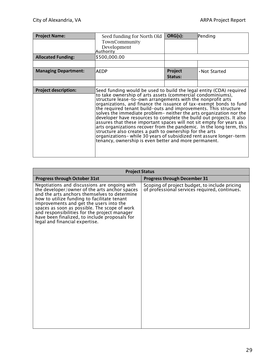| <b>Project Name:</b>        | Seed funding for North Old                                                                                                                                                                                                                                                                                                                                                                                                                                                                                                                                                                                                                                                                                                                                                                                                           | ORG(s):            | Pending       |
|-----------------------------|--------------------------------------------------------------------------------------------------------------------------------------------------------------------------------------------------------------------------------------------------------------------------------------------------------------------------------------------------------------------------------------------------------------------------------------------------------------------------------------------------------------------------------------------------------------------------------------------------------------------------------------------------------------------------------------------------------------------------------------------------------------------------------------------------------------------------------------|--------------------|---------------|
|                             | TownCommunity<br>Development<br>Authority                                                                                                                                                                                                                                                                                                                                                                                                                                                                                                                                                                                                                                                                                                                                                                                            |                    |               |
| <b>Allocated Funding:</b>   | \$500,000.00                                                                                                                                                                                                                                                                                                                                                                                                                                                                                                                                                                                                                                                                                                                                                                                                                         |                    |               |
|                             |                                                                                                                                                                                                                                                                                                                                                                                                                                                                                                                                                                                                                                                                                                                                                                                                                                      |                    |               |
| <b>Managing Department:</b> | <b>AEDP</b>                                                                                                                                                                                                                                                                                                                                                                                                                                                                                                                                                                                                                                                                                                                                                                                                                          | Project<br>Status: | • Not Started |
|                             |                                                                                                                                                                                                                                                                                                                                                                                                                                                                                                                                                                                                                                                                                                                                                                                                                                      |                    |               |
| <b>Project description:</b> | Seed funding would be used to build the legal entity (CDA) required<br>to take ownership of arts assets (commercial condominiums),<br>structure lease-to-own arrangements with the nonprofit arts<br>organizations, and finance the issuance of tax-exempt bonds to fund<br>the required tenant build-outs and improvements. This structure<br>solves the immediate problem- neither the arts organization nor the<br>developer have resources to complete the build out projects. It also<br>assures that these important spaces will not sit empty for years as<br>arts organizations recover from the pandemic. In the long term, this<br>structure also creates a path to ownership for the arts<br>organizations- while 30 years of subsidized rent assure longer-term<br>tenancy, ownership is even better and more permanent. |                    |               |

| <b>Project Status</b>                                                                                                                                                                                                                                                                                                                                                                                                        |                                                                                                |  |  |
|------------------------------------------------------------------------------------------------------------------------------------------------------------------------------------------------------------------------------------------------------------------------------------------------------------------------------------------------------------------------------------------------------------------------------|------------------------------------------------------------------------------------------------|--|--|
| <b>Progress through October 31st</b>                                                                                                                                                                                                                                                                                                                                                                                         | <b>Progress through December 31</b>                                                            |  |  |
| Negotiations and discussions are ongoing with<br>the developer/owner of the arts anchor spaces<br>and the arts anchors themselves to determine<br>how to utilize funding to facilitate tenant<br>improvements and get the users into the<br>spaces as soon as possible. The scope of work<br>and responsibilities for the project manager<br>have been finalized, to include proposals for<br>legal and financial expertise. | Scoping of project budget, to include pricing<br>of professional services required, continues. |  |  |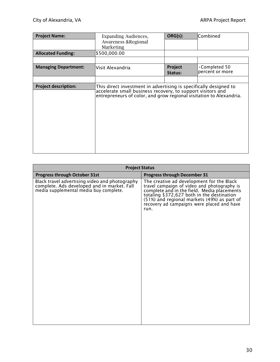| <b>Project Name:</b>        | Expanding Audiences,<br><b>Awareness &amp;Regional</b><br>Marketing                                                                                                                                     | ORG(s):            | Combined                                |
|-----------------------------|---------------------------------------------------------------------------------------------------------------------------------------------------------------------------------------------------------|--------------------|-----------------------------------------|
| <b>Allocated Funding:</b>   | \$500,000.00                                                                                                                                                                                            |                    |                                         |
|                             |                                                                                                                                                                                                         |                    |                                         |
| <b>Managing Department:</b> | Visit Alexandria                                                                                                                                                                                        | Project<br>Status: | $\cdot$ Completed 50<br>percent or more |
|                             |                                                                                                                                                                                                         |                    |                                         |
| <b>Project description:</b> | This direct investment in advertising is specifically designed to<br>accelerate small business recovery, to support visitors and<br>entrepreneurs of color, and grow regional visitation to Alexandria. |                    |                                         |

| <b>Project Status</b>                                                                                                                   |                                                                                                                                                                                                                                                                                            |  |  |
|-----------------------------------------------------------------------------------------------------------------------------------------|--------------------------------------------------------------------------------------------------------------------------------------------------------------------------------------------------------------------------------------------------------------------------------------------|--|--|
| Progress through October 31st                                                                                                           | <b>Progress through December 31</b>                                                                                                                                                                                                                                                        |  |  |
| Black travel advertising video and photography<br>complete. Ads developed and in market. Fall<br>media supplemental media buy complete. | The creative ad development for the Black<br>travel campaign of video and photography is<br>complete and in the field. Media placements<br>totaling \$372,627 both in the destination<br>(51%) and regional markets (49%) as part of<br>recovery ad campaigns were placed and have<br>run. |  |  |
|                                                                                                                                         |                                                                                                                                                                                                                                                                                            |  |  |